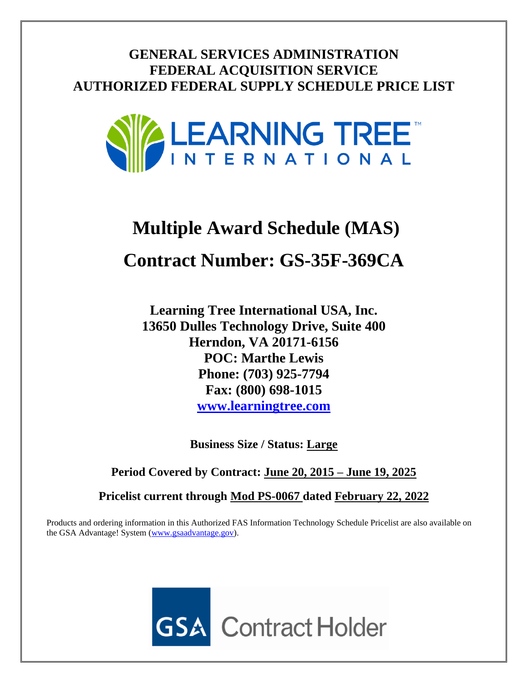**GENERAL SERVICES ADMINISTRATION FEDERAL ACQUISITION SERVICE AUTHORIZED FEDERAL SUPPLY SCHEDULE PRICE LIST**



# **Multiple Award Schedule (MAS) Contract Number: GS-35F-369CA**

**Learning Tree International USA, Inc. 13650 Dulles Technology Drive, Suite 400 Herndon, VA 20171-6156 POC: Marthe Lewis Phone: (703) 925-7794 Fax: (800) 698-1015 [www.learningtree.com](http://www.learningtree.com/)**

**Business Size / Status: Large**

**Period Covered by Contract: June 20, 2015 – June 19, 2025**

**Pricelist current through Mod PS-0067 dated February 22, 2022**

Products and ordering information in this Authorized FAS Information Technology Schedule Pricelist are also available on the GSA Advantage! System [\(www.gsaadvantage.gov\)](http://www.gsaadvantage.gov/).

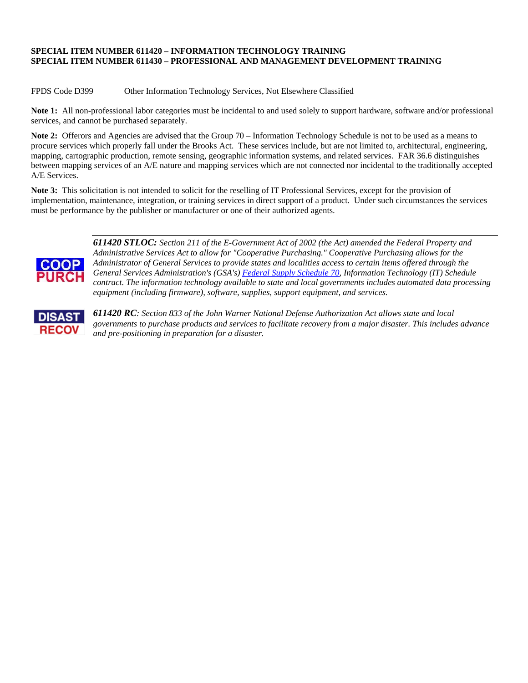#### **SPECIAL ITEM NUMBER 611420 – INFORMATION TECHNOLOGY TRAINING SPECIAL ITEM NUMBER 611430 – PROFESSIONAL AND MANAGEMENT DEVELOPMENT TRAINING**

FPDS Code D399 Other Information Technology Services, Not Elsewhere Classified

**Note 1:** All non-professional labor categories must be incidental to and used solely to support hardware, software and/or professional services, and cannot be purchased separately.

**Note 2:** Offerors and Agencies are advised that the Group 70 – Information Technology Schedule is not to be used as a means to procure services which properly fall under the Brooks Act. These services include, but are not limited to, architectural, engineering, mapping, cartographic production, remote sensing, geographic information systems, and related services. FAR 36.6 distinguishes between mapping services of an A/E nature and mapping services which are not connected nor incidental to the traditionally accepted A/E Services.

**Note 3:** This solicitation is not intended to solicit for the reselling of IT Professional Services, except for the provision of implementation, maintenance, integration, or training services in direct support of a product. Under such circumstances the services must be performance by the publisher or manufacturer or one of their authorized agents.



*611420 STLOC: Section 211 of the E-Government Act of 2002 (the Act) amended the Federal Property and Administrative Services Act to allow for "Cooperative Purchasing." Cooperative Purchasing allows for the Administrator of General Services to provide states and localities access to certain items offered through the General Services Administration's (GSA's) [Federal Supply Schedule 70,](http://www.gsaelibrary.gsa.gov/ElibMain/scheduleSummary.do?scheduleNumber=70&flag=coop) Information Technology (IT) Schedule contract. The information technology available to state and local governments includes automated data processing equipment (including firmware), software, supplies, support equipment, and services.*



*611420 RC: Section 833 of the John Warner National Defense Authorization Act allows state and local governments to purchase products and services to facilitate recovery from a major disaster. This includes advance and pre-positioning in preparation for a disaster.*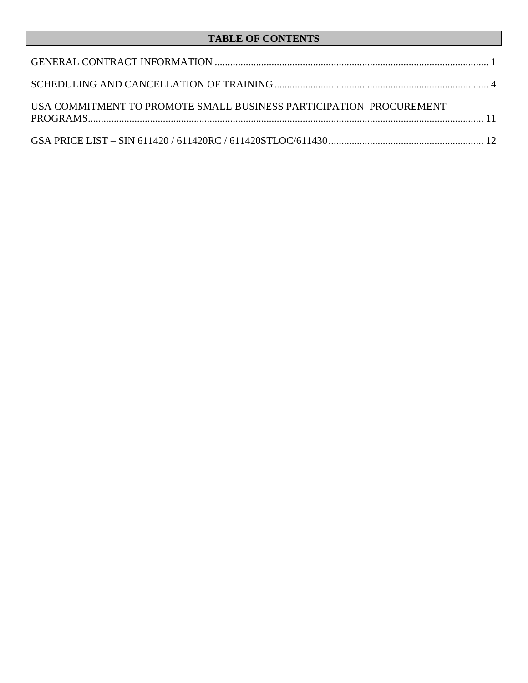# **TABLE OF CONTENTS**

| USA COMMITMENT TO PROMOTE SMALL BUSINESS PARTICIPATION PROCUREMENT |  |
|--------------------------------------------------------------------|--|
|                                                                    |  |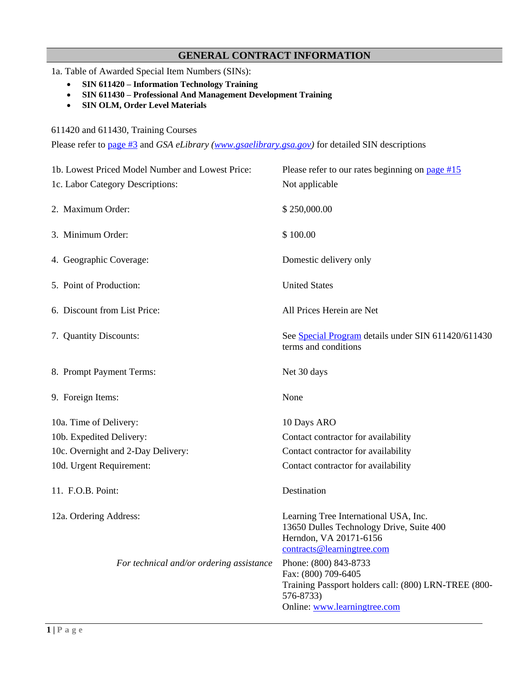# **GENERAL CONTRACT INFORMATION**

- <span id="page-3-0"></span>1a. Table of Awarded Special Item Numbers (SINs):
	- **SIN 611420 – Information Technology Training**
	- **SIN 611430 – Professional And Management Development Training**
	- **SIN OLM, Order Level Materials**

611420 and 611430, Training Courses

Please refer to [page #3](#page-5-0) and *GSA eLibrary [\(www.gsaelibrary.gsa.gov\)](http://www.gsaelibrary.gsa.gov/)* for detailed SIN descriptions

| 1b. Lowest Priced Model Number and Lowest Price: | Please refer to our rates beginning on page $#15$                                                                                                 |
|--------------------------------------------------|---------------------------------------------------------------------------------------------------------------------------------------------------|
| 1c. Labor Category Descriptions:                 | Not applicable                                                                                                                                    |
| 2. Maximum Order:                                | \$250,000.00                                                                                                                                      |
| 3. Minimum Order:                                | \$100.00                                                                                                                                          |
| 4. Geographic Coverage:                          | Domestic delivery only                                                                                                                            |
| 5. Point of Production:                          | <b>United States</b>                                                                                                                              |
| 6. Discount from List Price:                     | All Prices Herein are Net                                                                                                                         |
| 7. Quantity Discounts:                           | See Special Program details under SIN 611420/611430<br>terms and conditions                                                                       |
| 8. Prompt Payment Terms:                         | Net 30 days                                                                                                                                       |
| 9. Foreign Items:                                | None                                                                                                                                              |
| 10a. Time of Delivery:                           | 10 Days ARO                                                                                                                                       |
| 10b. Expedited Delivery:                         | Contact contractor for availability                                                                                                               |
| 10c. Overnight and 2-Day Delivery:               | Contact contractor for availability                                                                                                               |
| 10d. Urgent Requirement:                         | Contact contractor for availability                                                                                                               |
| 11. F.O.B. Point:                                | Destination                                                                                                                                       |
| 12a. Ordering Address:                           | Learning Tree International USA, Inc.<br>13650 Dulles Technology Drive, Suite 400<br>Herndon, VA 20171-6156<br>contracts@learningtree.com         |
| For technical and/or ordering assistance         | Phone: (800) 843-8733<br>Fax: (800) 709-6405<br>Training Passport holders call: (800) LRN-TREE (800-<br>576-8733)<br>Online: www.learningtree.com |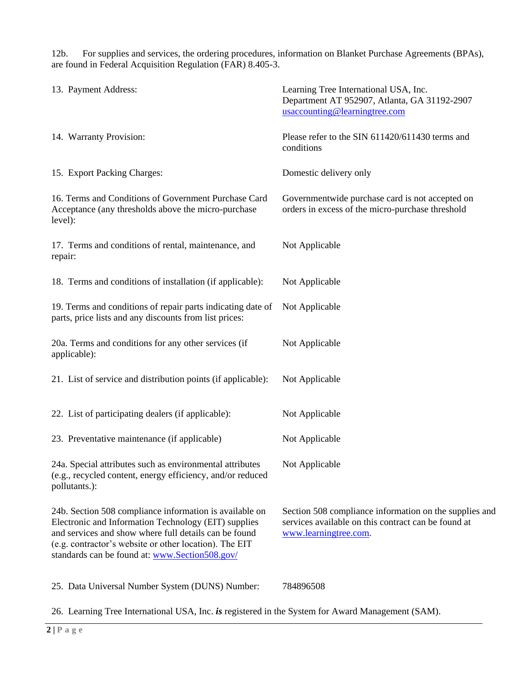12b. For supplies and services, the ordering procedures, information on Blanket Purchase Agreements (BPAs), are found in Federal Acquisition Regulation (FAR) 8.405-3.

| 13. Payment Address:                                                                                                                                                                                                                                                                 | Learning Tree International USA, Inc.<br>Department AT 952907, Atlanta, GA 31192-2907<br>usaccounting@learningtree.com                 |
|--------------------------------------------------------------------------------------------------------------------------------------------------------------------------------------------------------------------------------------------------------------------------------------|----------------------------------------------------------------------------------------------------------------------------------------|
| 14. Warranty Provision:                                                                                                                                                                                                                                                              | Please refer to the SIN 611420/611430 terms and<br>conditions                                                                          |
| 15. Export Packing Charges:                                                                                                                                                                                                                                                          | Domestic delivery only                                                                                                                 |
| 16. Terms and Conditions of Government Purchase Card<br>Acceptance (any thresholds above the micro-purchase<br>level):                                                                                                                                                               | Governmentwide purchase card is not accepted on<br>orders in excess of the micro-purchase threshold                                    |
| 17. Terms and conditions of rental, maintenance, and<br>repair:                                                                                                                                                                                                                      | Not Applicable                                                                                                                         |
| 18. Terms and conditions of installation (if applicable):                                                                                                                                                                                                                            | Not Applicable                                                                                                                         |
| 19. Terms and conditions of repair parts indicating date of<br>parts, price lists and any discounts from list prices:                                                                                                                                                                | Not Applicable                                                                                                                         |
| 20a. Terms and conditions for any other services (if<br>applicable):                                                                                                                                                                                                                 | Not Applicable                                                                                                                         |
| 21. List of service and distribution points (if applicable):                                                                                                                                                                                                                         | Not Applicable                                                                                                                         |
| 22. List of participating dealers (if applicable):                                                                                                                                                                                                                                   | Not Applicable                                                                                                                         |
| 23. Preventative maintenance (if applicable)                                                                                                                                                                                                                                         | Not Applicable                                                                                                                         |
| 24a. Special attributes such as environmental attributes<br>(e.g., recycled content, energy efficiency, and/or reduced<br>pollutants.):                                                                                                                                              | Not Applicable                                                                                                                         |
| 24b. Section 508 compliance information is available on<br>Electronic and Information Technology (EIT) supplies<br>and services and show where full details can be found<br>(e.g. contractor's website or other location). The EIT<br>standards can be found at: www.Section508.gov/ | Section 508 compliance information on the supplies and<br>services available on this contract can be found at<br>www.learningtree.com. |

26. Learning Tree International USA, Inc. *is* registered in the System for Award Management (SAM).

25. Data Universal Number System (DUNS) Number: 784896508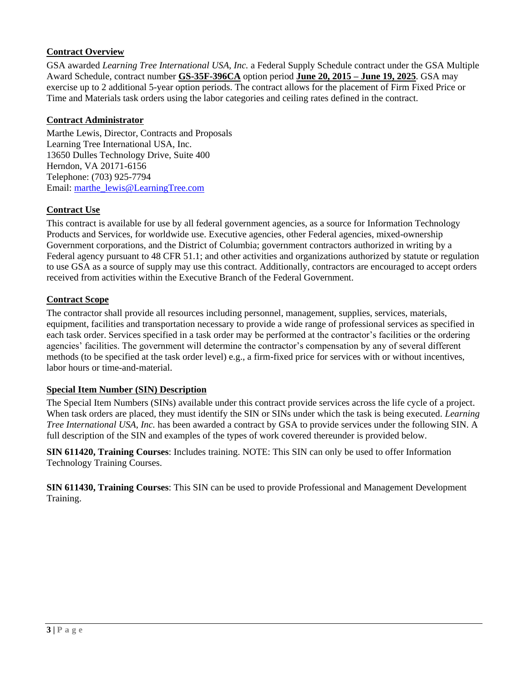# **Contract Overview**

GSA awarded *Learning Tree International USA, Inc.* a Federal Supply Schedule contract under the GSA Multiple Award Schedule, contract number **GS-35F-396CA** option period **June 20, 2015 – June 19, 2025**. GSA may exercise up to 2 additional 5-year option periods. The contract allows for the placement of Firm Fixed Price or Time and Materials task orders using the labor categories and ceiling rates defined in the contract.

#### **Contract Administrator**

Marthe Lewis, Director, Contracts and Proposals Learning Tree International USA, Inc. 13650 Dulles Technology Drive, Suite 400 Herndon, VA 20171-6156 Telephone: (703) 925-7794 Email: [marthe\\_lewis@LearningTree.com](mailto:marthe_lewis@LearningTree.com)

#### **Contract Use**

This contract is available for use by all federal government agencies, as a source for Information Technology Products and Services, for worldwide use. Executive agencies, other Federal agencies, mixed-ownership Government corporations, and the District of Columbia; government contractors authorized in writing by a Federal agency pursuant to 48 CFR 51.1; and other activities and organizations authorized by statute or regulation to use GSA as a source of supply may use this contract. Additionally, contractors are encouraged to accept orders received from activities within the Executive Branch of the Federal Government.

#### **Contract Scope**

The contractor shall provide all resources including personnel, management, supplies, services, materials, equipment, facilities and transportation necessary to provide a wide range of professional services as specified in each task order. Services specified in a task order may be performed at the contractor's facilities or the ordering agencies' facilities. The government will determine the contractor's compensation by any of several different methods (to be specified at the task order level) e.g., a firm-fixed price for services with or without incentives, labor hours or time-and-material.

#### <span id="page-5-0"></span>**Special Item Number (SIN) Description**

The Special Item Numbers (SINs) available under this contract provide services across the life cycle of a project. When task orders are placed, they must identify the SIN or SINs under which the task is being executed. *Learning Tree International USA, Inc.* has been awarded a contract by GSA to provide services under the following SIN. A full description of the SIN and examples of the types of work covered thereunder is provided below.

**SIN 611420, Training Courses**: Includes training. NOTE: This SIN can only be used to offer Information Technology Training Courses.

**SIN 611430, Training Courses**: This SIN can be used to provide Professional and Management Development Training.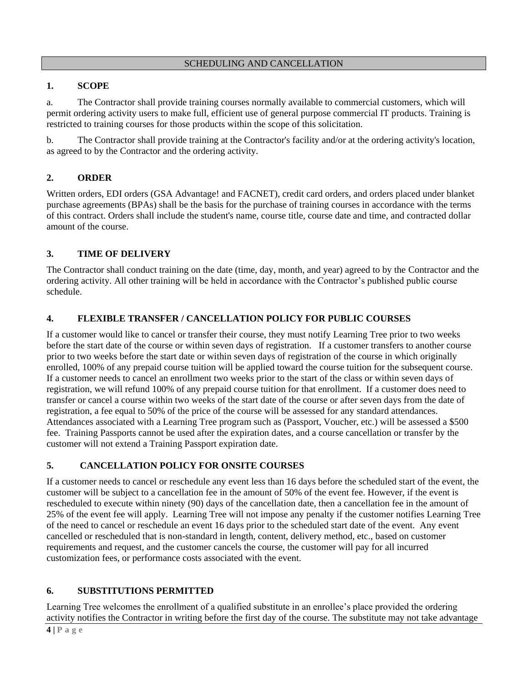#### SCHEDULING AND CANCELLATION

# <span id="page-6-0"></span>**1. SCOPE**

a. The Contractor shall provide training courses normally available to commercial customers, which will permit ordering activity users to make full, efficient use of general purpose commercial IT products. Training is restricted to training courses for those products within the scope of this solicitation.

b. The Contractor shall provide training at the Contractor's facility and/or at the ordering activity's location, as agreed to by the Contractor and the ordering activity.

# **2. ORDER**

Written orders, EDI orders (GSA Advantage! and FACNET), credit card orders, and orders placed under blanket purchase agreements (BPAs) shall be the basis for the purchase of training courses in accordance with the terms of this contract. Orders shall include the student's name, course title, course date and time, and contracted dollar amount of the course.

# **3. TIME OF DELIVERY**

The Contractor shall conduct training on the date (time, day, month, and year) agreed to by the Contractor and the ordering activity. All other training will be held in accordance with the Contractor's published public course schedule.

# **4. FLEXIBLE TRANSFER / CANCELLATION POLICY FOR PUBLIC COURSES**

If a customer would like to cancel or transfer their course, they must notify Learning Tree prior to two weeks before the start date of the course or within seven days of registration. If a customer transfers to another course prior to two weeks before the start date or within seven days of registration of the course in which originally enrolled, 100% of any prepaid course tuition will be applied toward the course tuition for the subsequent course. If a customer needs to cancel an enrollment two weeks prior to the start of the class or within seven days of registration, we will refund 100% of any prepaid course tuition for that enrollment. If a customer does need to transfer or cancel a course within two weeks of the start date of the course or after seven days from the date of registration, a fee equal to 50% of the price of the course will be assessed for any standard attendances. Attendances associated with a Learning Tree program such as (Passport, Voucher, etc.) will be assessed a \$500 fee. Training Passports cannot be used after the expiration dates, and a course cancellation or transfer by the customer will not extend a Training Passport expiration date.

#### **5. CANCELLATION POLICY FOR ONSITE COURSES**

If a customer needs to cancel or reschedule any event less than 16 days before the scheduled start of the event, the customer will be subject to a cancellation fee in the amount of 50% of the event fee. However, if the event is rescheduled to execute within ninety (90) days of the cancellation date, then a cancellation fee in the amount of 25% of the event fee will apply. Learning Tree will not impose any penalty if the customer notifies Learning Tree of the need to cancel or reschedule an event 16 days prior to the scheduled start date of the event. Any event cancelled or rescheduled that is non-standard in length, content, delivery method, etc., based on customer requirements and request, and the customer cancels the course, the customer will pay for all incurred customization fees, or performance costs associated with the event.

# **6. SUBSTITUTIONS PERMITTED**

Learning Tree welcomes the enrollment of a qualified substitute in an enrollee's place provided the ordering activity notifies the Contractor in writing before the first day of the course. The substitute may not take advantage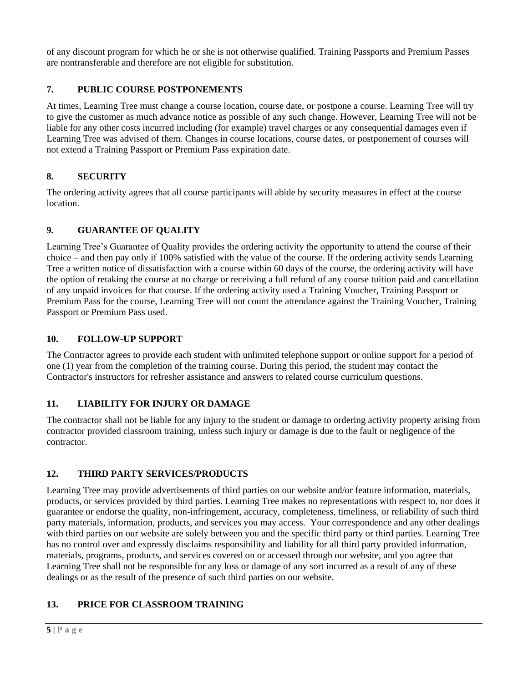of any discount program for which he or she is not otherwise qualified. Training Passports and Premium Passes are nontransferable and therefore are not eligible for substitution.

# **7. PUBLIC COURSE POSTPONEMENTS**

At times, Learning Tree must change a course location, course date, or postpone a course. Learning Tree will try to give the customer as much advance notice as possible of any such change. However, Learning Tree will not be liable for any other costs incurred including (for example) travel charges or any consequential damages even if Learning Tree was advised of them. Changes in course locations, course dates, or postponement of courses will not extend a Training Passport or Premium Pass expiration date.

# **8. SECURITY**

The ordering activity agrees that all course participants will abide by security measures in effect at the course location.

# **9. GUARANTEE OF QUALITY**

Learning Tree's Guarantee of Quality provides the ordering activity the opportunity to attend the course of their choice – and then pay only if 100% satisfied with the value of the course. If the ordering activity sends Learning Tree a written notice of dissatisfaction with a course within 60 days of the course, the ordering activity will have the option of retaking the course at no charge or receiving a full refund of any course tuition paid and cancellation of any unpaid invoices for that course. If the ordering activity used a Training Voucher, Training Passport or Premium Pass for the course, Learning Tree will not count the attendance against the Training Voucher, Training Passport or Premium Pass used.

#### **10. FOLLOW-UP SUPPORT**

The Contractor agrees to provide each student with unlimited telephone support or online support for a period of one (1) year from the completion of the training course. During this period, the student may contact the Contractor's instructors for refresher assistance and answers to related course curriculum questions.

#### **11. LIABILITY FOR INJURY OR DAMAGE**

The contractor shall not be liable for any injury to the student or damage to ordering activity property arising from contractor provided classroom training, unless such injury or damage is due to the fault or negligence of the contractor.

# **12. THIRD PARTY SERVICES/PRODUCTS**

Learning Tree may provide advertisements of third parties on our website and/or feature information, materials, products, or services provided by third parties. Learning Tree makes no representations with respect to, nor does it guarantee or endorse the quality, non-infringement, accuracy, completeness, timeliness, or reliability of such third party materials, information, products, and services you may access. Your correspondence and any other dealings with third parties on our website are solely between you and the specific third party or third parties. Learning Tree has no control over and expressly disclaims responsibility and liability for all third party provided information, materials, programs, products, and services covered on or accessed through our website, and you agree that Learning Tree shall not be responsible for any loss or damage of any sort incurred as a result of any of these dealings or as the result of the presence of such third parties on our website.

# **13. PRICE FOR CLASSROOM TRAINING**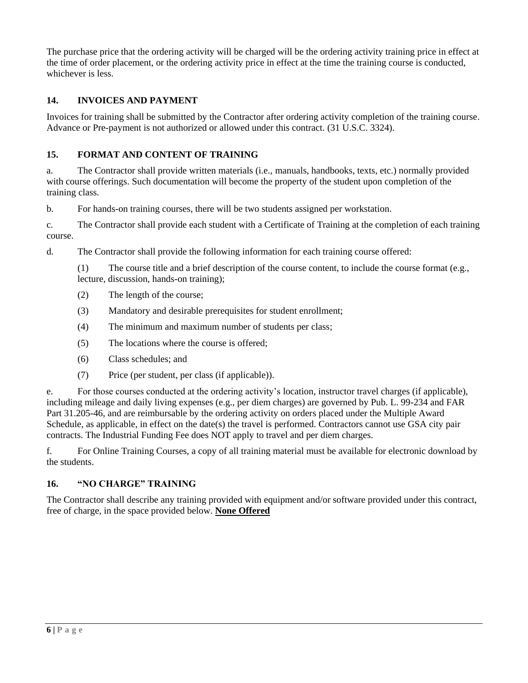The purchase price that the ordering activity will be charged will be the ordering activity training price in effect at the time of order placement, or the ordering activity price in effect at the time the training course is conducted, whichever is less.

# **14. INVOICES AND PAYMENT**

Invoices for training shall be submitted by the Contractor after ordering activity completion of the training course. Advance or Pre-payment is not authorized or allowed under this contract. (31 U.S.C. 3324).

# **15. FORMAT AND CONTENT OF TRAINING**

a. The Contractor shall provide written materials (i.e., manuals, handbooks, texts, etc.) normally provided with course offerings. Such documentation will become the property of the student upon completion of the training class.

b. For hands-on training courses, there will be two students assigned per workstation.

c. The Contractor shall provide each student with a Certificate of Training at the completion of each training course.

d. The Contractor shall provide the following information for each training course offered:

(1) The course title and a brief description of the course content, to include the course format (e.g., lecture, discussion, hands-on training);

- (2) The length of the course;
- (3) Mandatory and desirable prerequisites for student enrollment;
- (4) The minimum and maximum number of students per class;
- (5) The locations where the course is offered;
- (6) Class schedules; and
- (7) Price (per student, per class (if applicable)).

e. For those courses conducted at the ordering activity's location, instructor travel charges (if applicable), including mileage and daily living expenses (e.g., per diem charges) are governed by Pub. L. 99-234 and FAR Part 31.205-46, and are reimbursable by the ordering activity on orders placed under the Multiple Award Schedule, as applicable, in effect on the date(s) the travel is performed. Contractors cannot use GSA city pair contracts. The Industrial Funding Fee does NOT apply to travel and per diem charges.

f. For Online Training Courses, a copy of all training material must be available for electronic download by the students.

#### **16. "NO CHARGE" TRAINING**

The Contractor shall describe any training provided with equipment and/or software provided under this contract, free of charge, in the space provided below. **None Offered**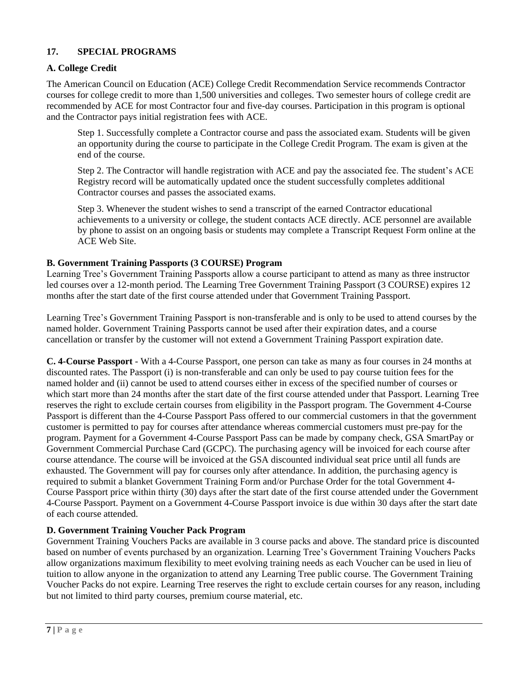# **17. SPECIAL PROGRAMS**

# **A. College Credit**

The American Council on Education (ACE) College Credit Recommendation Service recommends Contractor courses for college credit to more than 1,500 universities and colleges. Two semester hours of college credit are recommended by ACE for most Contractor four and five-day courses. Participation in this program is optional and the Contractor pays initial registration fees with ACE.

Step 1. Successfully complete a Contractor course and pass the associated exam. Students will be given an opportunity during the course to participate in the College Credit Program. The exam is given at the end of the course.

Step 2. The Contractor will handle registration with ACE and pay the associated fee. The student's ACE Registry record will be automatically updated once the student successfully completes additional Contractor courses and passes the associated exams.

Step 3. Whenever the student wishes to send a transcript of the earned Contractor educational achievements to a university or college, the student contacts ACE directly. ACE personnel are available by phone to assist on an ongoing basis or students may complete a Transcript Request Form online at the ACE Web Site.

#### **B. Government Training Passports (3 COURSE) Program**

Learning Tree's Government Training Passports allow a course participant to attend as many as three instructor led courses over a 12-month period. The Learning Tree Government Training Passport (3 COURSE) expires 12 months after the start date of the first course attended under that Government Training Passport.

Learning Tree's Government Training Passport is non-transferable and is only to be used to attend courses by the named holder. Government Training Passports cannot be used after their expiration dates, and a course cancellation or transfer by the customer will not extend a Government Training Passport expiration date.

**C. 4-Course Passport** - With a 4-Course Passport, one person can take as many as four courses in 24 months at discounted rates. The Passport (i) is non-transferable and can only be used to pay course tuition fees for the named holder and (ii) cannot be used to attend courses either in excess of the specified number of courses or which start more than 24 months after the start date of the first course attended under that Passport. Learning Tree reserves the right to exclude certain courses from eligibility in the Passport program. The Government 4-Course Passport is different than the 4-Course Passport Pass offered to our commercial customers in that the government customer is permitted to pay for courses after attendance whereas commercial customers must pre-pay for the program. Payment for a Government 4-Course Passport Pass can be made by company check, GSA SmartPay or Government Commercial Purchase Card (GCPC). The purchasing agency will be invoiced for each course after course attendance. The course will be invoiced at the GSA discounted individual seat price until all funds are exhausted. The Government will pay for courses only after attendance. In addition, the purchasing agency is required to submit a blanket Government Training Form and/or Purchase Order for the total Government 4- Course Passport price within thirty (30) days after the start date of the first course attended under the Government 4-Course Passport. Payment on a Government 4-Course Passport invoice is due within 30 days after the start date of each course attended.

#### **D. Government Training Voucher Pack Program**

Government Training Vouchers Packs are available in 3 course packs and above. The standard price is discounted based on number of events purchased by an organization. Learning Tree's Government Training Vouchers Packs allow organizations maximum flexibility to meet evolving training needs as each Voucher can be used in lieu of tuition to allow anyone in the organization to attend any Learning Tree public course. The Government Training Voucher Packs do not expire. Learning Tree reserves the right to exclude certain courses for any reason, including but not limited to third party courses, premium course material, etc.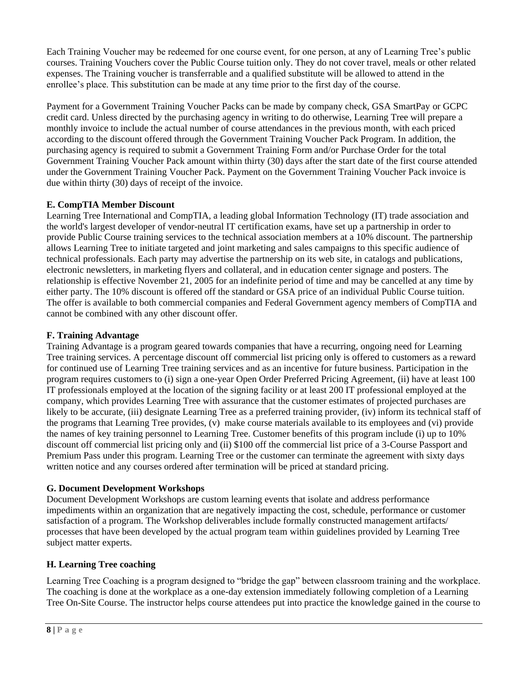Each Training Voucher may be redeemed for one course event, for one person, at any of Learning Tree's public courses. Training Vouchers cover the Public Course tuition only. They do not cover travel, meals or other related expenses. The Training voucher is transferrable and a qualified substitute will be allowed to attend in the enrollee's place. This substitution can be made at any time prior to the first day of the course.

Payment for a Government Training Voucher Packs can be made by company check, GSA SmartPay or GCPC credit card. Unless directed by the purchasing agency in writing to do otherwise, Learning Tree will prepare a monthly invoice to include the actual number of course attendances in the previous month, with each priced according to the discount offered through the Government Training Voucher Pack Program. In addition, the purchasing agency is required to submit a Government Training Form and/or Purchase Order for the total Government Training Voucher Pack amount within thirty (30) days after the start date of the first course attended under the Government Training Voucher Pack. Payment on the Government Training Voucher Pack invoice is due within thirty (30) days of receipt of the invoice.

# **E. CompTIA Member Discount**

Learning Tree International and CompTIA, a leading global Information Technology (IT) trade association and the world's largest developer of vendor-neutral IT certification exams, have set up a partnership in order to provide Public Course training services to the technical association members at a 10% discount. The partnership allows Learning Tree to initiate targeted and joint marketing and sales campaigns to this specific audience of technical professionals. Each party may advertise the partnership on its web site, in catalogs and publications, electronic newsletters, in marketing flyers and collateral, and in education center signage and posters. The relationship is effective November 21, 2005 for an indefinite period of time and may be cancelled at any time by either party. The 10% discount is offered off the standard or GSA price of an individual Public Course tuition. The offer is available to both commercial companies and Federal Government agency members of CompTIA and cannot be combined with any other discount offer.

# **F. Training Advantage**

Training Advantage is a program geared towards companies that have a recurring, ongoing need for Learning Tree training services. A percentage discount off commercial list pricing only is offered to customers as a reward for continued use of Learning Tree training services and as an incentive for future business. Participation in the program requires customers to (i) sign a one-year Open Order Preferred Pricing Agreement, (ii) have at least 100 IT professionals employed at the location of the signing facility or at least 200 IT professional employed at the company, which provides Learning Tree with assurance that the customer estimates of projected purchases are likely to be accurate, (iii) designate Learning Tree as a preferred training provider, (iv) inform its technical staff of the programs that Learning Tree provides, (v) make course materials available to its employees and (vi) provide the names of key training personnel to Learning Tree. Customer benefits of this program include (i) up to 10% discount off commercial list pricing only and (ii) \$100 off the commercial list price of a 3-Course Passport and Premium Pass under this program. Learning Tree or the customer can terminate the agreement with sixty days written notice and any courses ordered after termination will be priced at standard pricing.

# **G. Document Development Workshops**

Document Development Workshops are custom learning events that isolate and address performance impediments within an organization that are negatively impacting the cost, schedule, performance or customer satisfaction of a program. The Workshop deliverables include formally constructed management artifacts/ processes that have been developed by the actual program team within guidelines provided by Learning Tree subject matter experts.

# **H. Learning Tree coaching**

Learning Tree Coaching is a program designed to "bridge the gap" between classroom training and the workplace. The coaching is done at the workplace as a one-day extension immediately following completion of a Learning Tree On-Site Course. The instructor helps course attendees put into practice the knowledge gained in the course to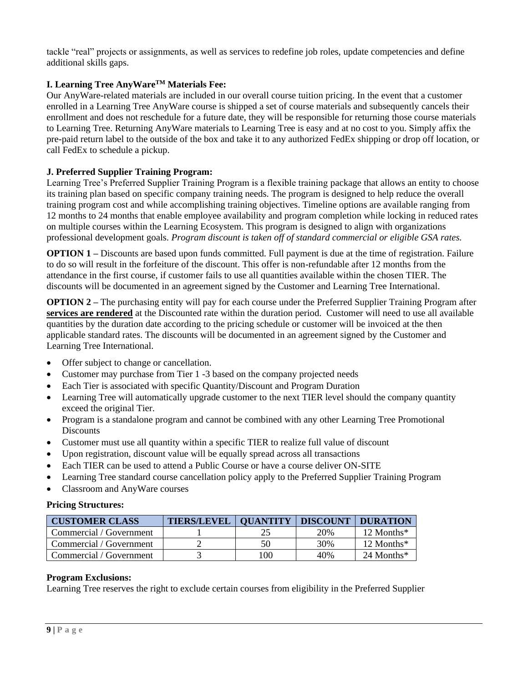tackle "real" projects or assignments, as well as services to redefine job roles, update competencies and define additional skills gaps.

# **I. Learning Tree AnyWareTM Materials Fee:**

Our AnyWare-related materials are included in our overall course tuition pricing. In the event that a customer enrolled in a Learning Tree AnyWare course is shipped a set of course materials and subsequently cancels their enrollment and does not reschedule for a future date, they will be responsible for returning those course materials to Learning Tree. Returning AnyWare materials to Learning Tree is easy and at no cost to you. Simply affix the pre-paid return label to the outside of the box and take it to any authorized FedEx shipping or drop off location, or call FedEx to schedule a pickup.

#### **J. Preferred Supplier Training Program:**

Learning Tree's Preferred Supplier Training Program is a flexible training package that allows an entity to choose its training plan based on specific company training needs. The program is designed to help reduce the overall training program cost and while accomplishing training objectives. Timeline options are available ranging from 12 months to 24 months that enable employee availability and program completion while locking in reduced rates on multiple courses within the Learning Ecosystem. This program is designed to align with organizations professional development goals. *Program discount is taken off of standard commercial or eligible GSA rates.*

**OPTION 1** – Discounts are based upon funds committed. Full payment is due at the time of registration. Failure to do so will result in the forfeiture of the discount. This offer is non-refundable after 12 months from the attendance in the first course, if customer fails to use all quantities available within the chosen TIER. The discounts will be documented in an agreement signed by the Customer and Learning Tree International.

**OPTION 2 –** The purchasing entity will pay for each course under the Preferred Supplier Training Program after **services are rendered** at the Discounted rate within the duration period. Customer will need to use all available quantities by the duration date according to the pricing schedule or customer will be invoiced at the then applicable standard rates. The discounts will be documented in an agreement signed by the Customer and Learning Tree International.

- Offer subject to change or cancellation.
- Customer may purchase from Tier 1 -3 based on the company projected needs
- Each Tier is associated with specific Quantity/Discount and Program Duration
- Learning Tree will automatically upgrade customer to the next TIER level should the company quantity exceed the original Tier.
- Program is a standalone program and cannot be combined with any other Learning Tree Promotional **Discounts**
- Customer must use all quantity within a specific TIER to realize full value of discount
- Upon registration, discount value will be equally spread across all transactions
- Each TIER can be used to attend a Public Course or have a course deliver ON-SITE
- Learning Tree standard course cancellation policy apply to the Preferred Supplier Training Program
- Classroom and AnyWare courses

#### **Pricing Structures:**

| <b>CUSTOMER CLASS</b>   | <b>TIERS/LEVEL</b> | <b>QUANTITY DISCOUNT</b> |     | <b>DURATION</b>          |
|-------------------------|--------------------|--------------------------|-----|--------------------------|
| Commercial / Government |                    |                          | 20% | 12 Months*               |
| Commercial / Government |                    | 50                       | 30% | $12$ Months <sup>*</sup> |
| Commercial / Government |                    | 100                      | 40% | 24 Months $*$            |

#### **Program Exclusions:**

Learning Tree reserves the right to exclude certain courses from eligibility in the Preferred Supplier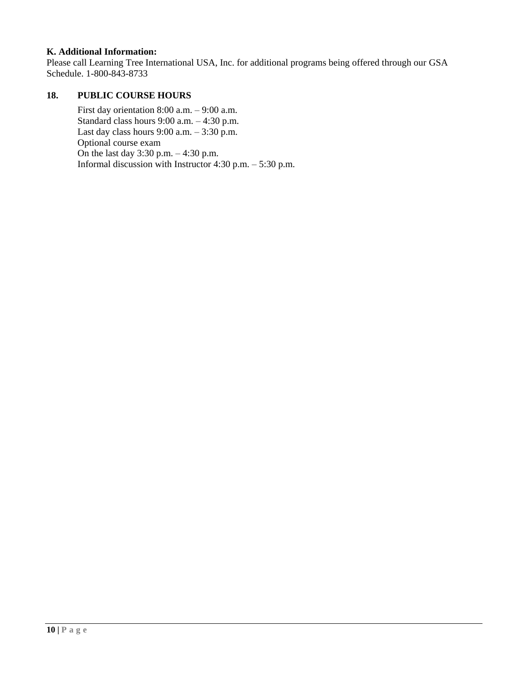#### **K. Additional Information:**

Please call Learning Tree International USA, Inc. for additional programs being offered through our GSA Schedule. 1-800-843-8733

### **18. PUBLIC COURSE HOURS**

First day orientation 8:00 a.m. – 9:00 a.m. Standard class hours 9:00 a.m. – 4:30 p.m. Last day class hours  $9:00$  a.m.  $-3:30$  p.m. Optional course exam On the last day 3:30 p.m. – 4:30 p.m. Informal discussion with Instructor 4:30 p.m. – 5:30 p.m.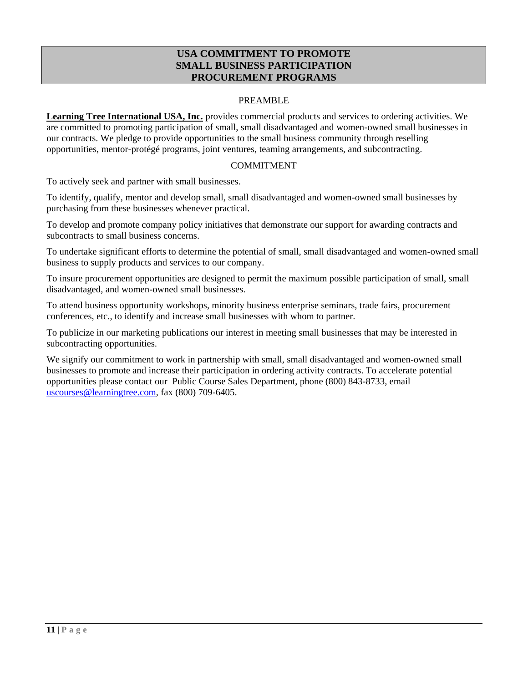# **USA COMMITMENT TO PROMOTE SMALL BUSINESS PARTICIPATION PROCUREMENT PROGRAMS**

#### PREAMBLE

<span id="page-13-0"></span>**Learning Tree International USA, Inc.** provides commercial products and services to ordering activities. We are committed to promoting participation of small, small disadvantaged and women-owned small businesses in our contracts. We pledge to provide opportunities to the small business community through reselling opportunities, mentor-protégé programs, joint ventures, teaming arrangements, and subcontracting.

#### COMMITMENT

To actively seek and partner with small businesses.

To identify, qualify, mentor and develop small, small disadvantaged and women-owned small businesses by purchasing from these businesses whenever practical.

To develop and promote company policy initiatives that demonstrate our support for awarding contracts and subcontracts to small business concerns.

To undertake significant efforts to determine the potential of small, small disadvantaged and women-owned small business to supply products and services to our company.

To insure procurement opportunities are designed to permit the maximum possible participation of small, small disadvantaged, and women-owned small businesses.

To attend business opportunity workshops, minority business enterprise seminars, trade fairs, procurement conferences, etc., to identify and increase small businesses with whom to partner.

To publicize in our marketing publications our interest in meeting small businesses that may be interested in subcontracting opportunities.

We signify our commitment to work in partnership with small, small disadvantaged and women-owned small businesses to promote and increase their participation in ordering activity contracts. To accelerate potential opportunities please contact our Public Course Sales Department, phone (800) 843-8733, email [uscourses@learningtree.com,](mailto:uscourses@learningtree.com) fax (800) 709-6405.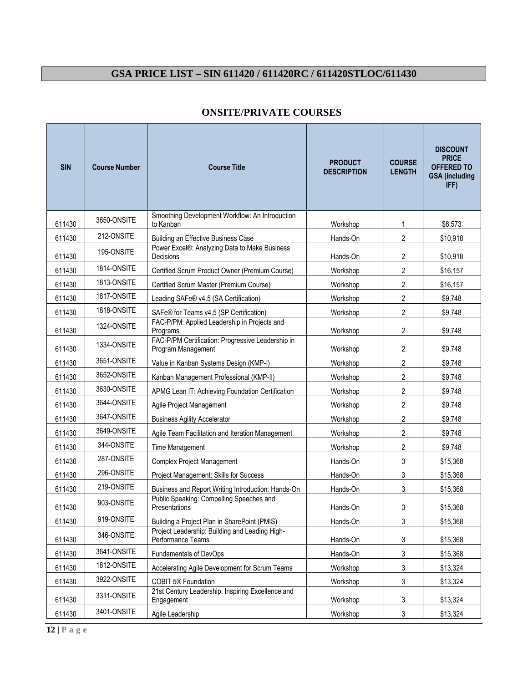# <span id="page-14-0"></span>**GSA PRICE LIST – SIN 611420 / 611420RC / 611420STLOC/611430**

| <b>SIN</b> | <b>Course Number</b> | <b>Course Title</b>                                                     | <b>PRODUCT</b><br><b>DESCRIPTION</b> | <b>COURSE</b><br><b>LENGTH</b> | <b>DISCOUNT</b><br><b>PRICE</b><br><b>OFFERED TO</b><br><b>GSA</b> (including<br>IFF) |
|------------|----------------------|-------------------------------------------------------------------------|--------------------------------------|--------------------------------|---------------------------------------------------------------------------------------|
| 611430     | 3650-ONSITE          | Smoothing Development Workflow: An Introduction<br>to Kanban            | Workshop                             | 1                              | \$6,573                                                                               |
| 611430     | 212-ONSITE           | Building an Effective Business Case                                     | Hands-On                             | $\overline{c}$                 | \$10,918                                                                              |
| 611430     | 195-ONSITE           | Power Excel®: Analyzing Data to Make Business<br>Decisions              | Hands-On                             | 2                              | \$10,918                                                                              |
| 611430     | 1814-ONSITE          | Certified Scrum Product Owner (Premium Course)                          | Workshop                             | 2                              | \$16,157                                                                              |
| 611430     | 1813-ONSITE          | Certified Scrum Master (Premium Course)                                 | Workshop                             | 2                              | \$16,157                                                                              |
| 611430     | 1817-ONSITE          | Leading SAFe® v4.5 (SA Certification)                                   | Workshop                             | 2                              | \$9,748                                                                               |
| 611430     | 1818-ONSITE          | SAFe® for Teams v4.5 (SP Certification)                                 | Workshop                             | $\overline{2}$                 | \$9,748                                                                               |
| 611430     | 1324-ONSITE          | FAC-P/PM: Applied Leadership in Projects and<br>Programs                | Workshop                             | 2                              | \$9,748                                                                               |
| 611430     | 1334-ONSITE          | FAC-P/PM Certification: Progressive Leadership in<br>Program Management | Workshop                             | 2                              | \$9,748                                                                               |
| 611430     | 3651-ONSITE          | Value in Kanban Systems Design (KMP-I)                                  | Workshop                             | $\overline{2}$                 | \$9,748                                                                               |
| 611430     | 3652-ONSITE          | Kanban Management Professional (KMP-II)                                 | Workshop                             | $\overline{2}$                 | \$9,748                                                                               |
| 611430     | 3630-ONSITE          | APMG Lean IT: Achieving Foundation Certification                        | Workshop                             | 2                              | \$9,748                                                                               |
| 611430     | 3644-ONSITE          | Agile Project Management                                                | Workshop                             | 2                              | \$9,748                                                                               |
| 611430     | 3647-ONSITE          | <b>Business Agility Accelerator</b>                                     | Workshop                             | $\overline{2}$                 | \$9,748                                                                               |
| 611430     | 3649-ONSITE          | Agile Team Facilitation and Iteration Management                        | Workshop                             | $\overline{2}$                 | \$9,748                                                                               |
| 611430     | 344-ONSITE           | Time Management                                                         | Workshop                             | 2                              | \$9,748                                                                               |
| 611430     | 287-ONSITE           | <b>Complex Project Management</b>                                       | Hands-On                             | 3                              | \$15,368                                                                              |
| 611430     | 296-ONSITE           | Project Management: Skills for Success                                  | Hands-On                             | 3                              | \$15,368                                                                              |
| 611430     | 219-ONSITE           | Business and Report Writing Introduction: Hands-On                      | Hands-On                             | 3                              | \$15,368                                                                              |
| 611430     | 903-ONSITE           | Public Speaking: Compelling Speeches and<br>Presentations               | Hands-On                             | 3                              | \$15,368                                                                              |
| 611430     | 919-ONSITE           | Building a Project Plan in SharePoint (PMIS)                            | Hands-On                             | 3                              | \$15,368                                                                              |
| 611430     | 346-ONSITE           | Project Leadership: Building and Leading High-<br>Performance Teams     | Hands-On                             | 3                              | \$15,368                                                                              |
| 611430     | 3641-ONSITE          | <b>Fundamentals of DevOps</b>                                           | Hands-On                             | 3                              | \$15,368                                                                              |
| 611430     | 1812-ONSITE          | Accelerating Agile Development for Scrum Teams                          | Workshop                             | 3                              | \$13,324                                                                              |
| 611430     | 3922-ONSITE          | COBIT 5® Foundation                                                     | Workshop                             | 3                              | \$13,324                                                                              |
| 611430     | 3311-ONSITE          | 21st Century Leadership: Inspiring Excellence and<br>Engagement         | Workshop                             | 3                              | \$13,324                                                                              |
| 611430     | 3401-ONSITE          | Agile Leadership                                                        | Workshop                             | 3                              | \$13,324                                                                              |

# **ONSITE/PRIVATE COURSES**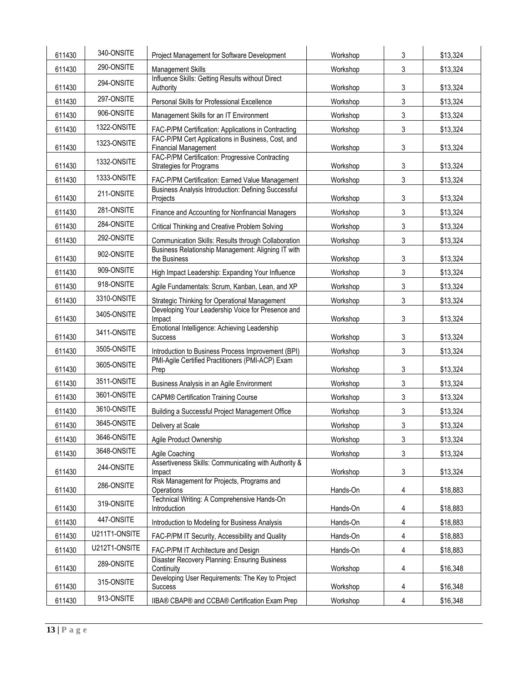| 611430 | 340-ONSITE    | Project Management for Software Development                                      | Workshop | 3 | \$13,324 |
|--------|---------------|----------------------------------------------------------------------------------|----------|---|----------|
| 611430 | 290-ONSITE    | <b>Management Skills</b>                                                         | Workshop | 3 | \$13,324 |
| 611430 | 294-ONSITE    | Influence Skills: Getting Results without Direct<br>Authority                    | Workshop | 3 | \$13,324 |
| 611430 | 297-ONSITE    | Personal Skills for Professional Excellence                                      | Workshop | 3 | \$13,324 |
| 611430 | 906-ONSITE    | Management Skills for an IT Environment                                          | Workshop | 3 | \$13,324 |
| 611430 | 1322-ONSITE   | FAC-P/PM Certification: Applications in Contracting                              | Workshop | 3 | \$13,324 |
| 611430 | 1323-ONSITE   | FAC-P/PM Cert Applications in Business, Cost, and<br><b>Financial Management</b> | Workshop | 3 | \$13,324 |
| 611430 | 1332-ONSITE   | FAC-P/PM Certification: Progressive Contracting<br>Strategies for Programs       | Workshop | 3 | \$13,324 |
| 611430 | 1333-ONSITE   | FAC-P/PM Certification: Earned Value Management                                  | Workshop | 3 | \$13,324 |
| 611430 | 211-ONSITE    | Business Analysis Introduction: Defining Successful<br>Projects                  | Workshop | 3 | \$13,324 |
| 611430 | 281-ONSITE    | Finance and Accounting for Nonfinancial Managers                                 | Workshop | 3 | \$13,324 |
| 611430 | 284-ONSITE    | Critical Thinking and Creative Problem Solving                                   | Workshop | 3 | \$13,324 |
| 611430 | 292-ONSITE    | Communication Skills: Results through Collaboration                              | Workshop | 3 | \$13,324 |
| 611430 | 902-ONSITE    | Business Relationship Management: Aligning IT with<br>the Business               | Workshop | 3 | \$13,324 |
| 611430 | 909-ONSITE    | High Impact Leadership: Expanding Your Influence                                 | Workshop | 3 | \$13,324 |
| 611430 | 918-ONSITE    | Agile Fundamentals: Scrum, Kanban, Lean, and XP                                  | Workshop | 3 | \$13,324 |
| 611430 | 3310-ONSITE   | Strategic Thinking for Operational Management                                    | Workshop | 3 | \$13,324 |
| 611430 | 3405-ONSITE   | Developing Your Leadership Voice for Presence and<br>Impact                      | Workshop | 3 | \$13,324 |
| 611430 | 3411-ONSITE   | Emotional Intelligence: Achieving Leadership<br>Success                          | Workshop | 3 | \$13,324 |
| 611430 | 3505-ONSITE   | Introduction to Business Process Improvement (BPI)                               | Workshop | 3 | \$13,324 |
| 611430 | 3605-ONSITE   | PMI-Agile Certified Practitioners (PMI-ACP) Exam<br>Prep                         | Workshop | 3 | \$13,324 |
| 611430 | 3511-ONSITE   | Business Analysis in an Agile Environment                                        | Workshop | 3 | \$13,324 |
| 611430 | 3601-ONSITE   | <b>CAPM® Certification Training Course</b>                                       | Workshop | 3 | \$13,324 |
| 611430 | 3610-ONSITE   | Building a Successful Project Management Office                                  | Workshop | 3 | \$13,324 |
| 611430 | 3645-ONSITE   | Delivery at Scale                                                                | Workshop | 3 | \$13,324 |
| 611430 | 3646-ONSITE   | Agile Product Ownership                                                          | Workshop | 3 | \$13,324 |
| 611430 | 3648-ONSITE   | Agile Coaching                                                                   | Workshop | 3 | \$13,324 |
| 611430 | 244-ONSITE    | Assertiveness Skills: Communicating with Authority &<br>Impact                   | Workshop | 3 | \$13,324 |
| 611430 | 286-ONSITE    | Risk Management for Projects, Programs and<br>Operations                         | Hands-On | 4 | \$18,883 |
| 611430 | 319-ONSITE    | Technical Writing: A Comprehensive Hands-On<br>Introduction                      | Hands-On | 4 | \$18,883 |
| 611430 | 447-ONSITE    | Introduction to Modeling for Business Analysis                                   | Hands-On | 4 | \$18,883 |
| 611430 | U211T1-ONSITE | FAC-P/PM IT Security, Accessibility and Quality                                  | Hands-On | 4 | \$18,883 |
| 611430 | U212T1-ONSITE | FAC-P/PM IT Architecture and Design                                              | Hands-On | 4 | \$18,883 |
| 611430 | 289-ONSITE    | Disaster Recovery Planning: Ensuring Business<br>Continuity                      | Workshop | 4 | \$16,348 |
| 611430 | 315-ONSITE    | Developing User Requirements: The Key to Project<br>Success                      | Workshop | 4 | \$16,348 |
| 611430 | 913-ONSITE    | IIBA® CBAP® and CCBA® Certification Exam Prep                                    | Workshop | 4 | \$16,348 |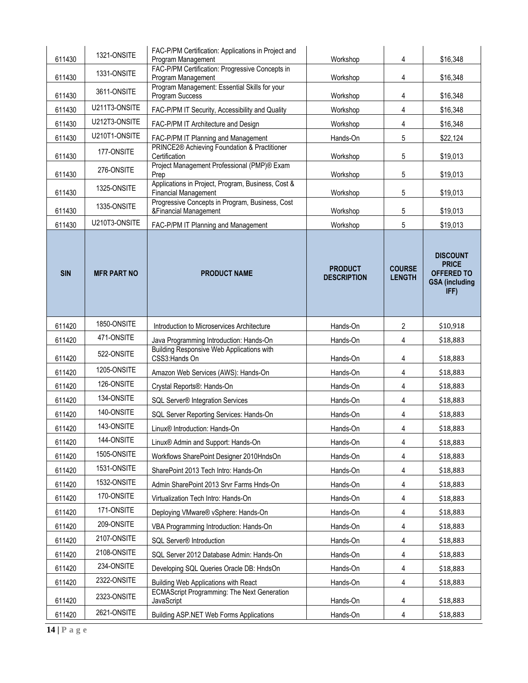| 611430     | 1321-ONSITE        | FAC-P/PM Certification: Applications in Project and<br>Program Management         | Workshop                             | 4                              | \$16,348                                                                              |
|------------|--------------------|-----------------------------------------------------------------------------------|--------------------------------------|--------------------------------|---------------------------------------------------------------------------------------|
| 611430     | 1331-ONSITE        | FAC-P/PM Certification: Progressive Concepts in<br>Program Management             | Workshop                             | 4                              | \$16,348                                                                              |
| 611430     | 3611-ONSITE        | Program Management: Essential Skills for your<br>Program Success                  | Workshop                             | 4                              | \$16,348                                                                              |
| 611430     | U211T3-ONSITE      | FAC-P/PM IT Security, Accessibility and Quality                                   | Workshop                             | 4                              | \$16,348                                                                              |
| 611430     | U212T3-ONSITE      | FAC-P/PM IT Architecture and Design                                               | Workshop                             | 4                              | \$16,348                                                                              |
| 611430     | U210T1-ONSITE      | FAC-P/PM IT Planning and Management                                               | Hands-On                             | 5                              | \$22,124                                                                              |
| 611430     | 177-ONSITE         | PRINCE2® Achieving Foundation & Practitioner<br>Certification                     | Workshop                             | 5                              | \$19,013                                                                              |
| 611430     | 276-ONSITE         | Project Management Professional (PMP)® Exam<br>Prep                               | Workshop                             | 5                              | \$19,013                                                                              |
| 611430     | 1325-ONSITE        | Applications in Project, Program, Business, Cost &<br><b>Financial Management</b> | Workshop                             | 5                              | \$19,013                                                                              |
| 611430     | 1335-ONSITE        | Progressive Concepts in Program, Business, Cost<br>&Financial Management          | Workshop                             | 5                              | \$19,013                                                                              |
| 611430     | U210T3-ONSITE      | FAC-P/PM IT Planning and Management                                               | Workshop                             | 5                              | \$19,013                                                                              |
| <b>SIN</b> | <b>MFR PART NO</b> | <b>PRODUCT NAME</b>                                                               | <b>PRODUCT</b><br><b>DESCRIPTION</b> | <b>COURSE</b><br><b>LENGTH</b> | <b>DISCOUNT</b><br><b>PRICE</b><br><b>OFFERED TO</b><br><b>GSA (including</b><br>IFF) |
| 611420     | 1850-ONSITE        | Introduction to Microservices Architecture                                        | Hands-On                             | $\overline{2}$                 | \$10,918                                                                              |
| 611420     | 471-ONSITE         | Java Programming Introduction: Hands-On                                           | Hands-On                             | 4                              | \$18,883                                                                              |
| 611420     | 522-ONSITE         | Building Responsive Web Applications with<br>CSS3:Hands On                        | Hands-On                             | 4                              | \$18,883                                                                              |
| 611420     | 1205-ONSITE        | Amazon Web Services (AWS): Hands-On                                               | Hands-On                             | 4                              | \$18,883                                                                              |
| 611420     | 126-ONSITE         | Crystal Reports®: Hands-On                                                        | Hands-On                             | 4                              | \$18,883                                                                              |
| 611420     | 134-ONSITE         | SQL Server® Integration Services                                                  | Hands-On                             | 4                              | \$18,883                                                                              |
| 611420     | 140-ONSITE         | SQL Server Reporting Services: Hands-On                                           | Hands-On                             | 4                              | \$18,883                                                                              |
| 611420     | 143-ONSITE         | Linux <sup>®</sup> Introduction: Hands-On                                         | Hands-On                             | 4                              | \$18,883                                                                              |
| 611420     | 144-ONSITE         | Linux <sup>®</sup> Admin and Support: Hands-On                                    | Hands-On                             | 4                              | \$18,883                                                                              |
| 611420     | 1505-ONSITE        | Workflows SharePoint Designer 2010HndsOn                                          | Hands-On                             | 4                              | \$18,883                                                                              |
| 611420     | 1531-ONSITE        | SharePoint 2013 Tech Intro: Hands-On                                              | Hands-On                             | 4                              | \$18,883                                                                              |
| 611420     | 1532-ONSITE        | Admin SharePoint 2013 Srvr Farms Hnds-On                                          | Hands-On                             | 4                              | \$18,883                                                                              |
| 611420     | 170-ONSITE         | Virtualization Tech Intro: Hands-On                                               | Hands-On                             | 4                              | \$18,883                                                                              |
| 611420     | 171-ONSITE         | Deploying VMware® vSphere: Hands-On                                               | Hands-On                             | 4                              | \$18,883                                                                              |
| 611420     | 209-ONSITE         | VBA Programming Introduction: Hands-On                                            | Hands-On                             | 4                              | \$18,883                                                                              |
| 611420     | 2107-ONSITE        | SQL Server® Introduction                                                          | Hands-On                             | 4                              | \$18,883                                                                              |
| 611420     | 2108-ONSITE        | SQL Server 2012 Database Admin: Hands-On                                          | Hands-On                             | 4                              | \$18,883                                                                              |
| 611420     | 234-ONSITE         | Developing SQL Queries Oracle DB: HndsOn                                          | Hands-On                             | 4                              | \$18,883                                                                              |
| 611420     | 2322-ONSITE        | Building Web Applications with React                                              | Hands-On                             | 4                              | \$18,883                                                                              |
| 611420     | 2323-ONSITE        | <b>ECMAScript Programming: The Next Generation</b><br>JavaScript                  | Hands-On                             | 4                              | \$18,883                                                                              |
| 611420     | 2621-ONSITE        | <b>Building ASP.NET Web Forms Applications</b>                                    | Hands-On                             | 4                              | \$18,883                                                                              |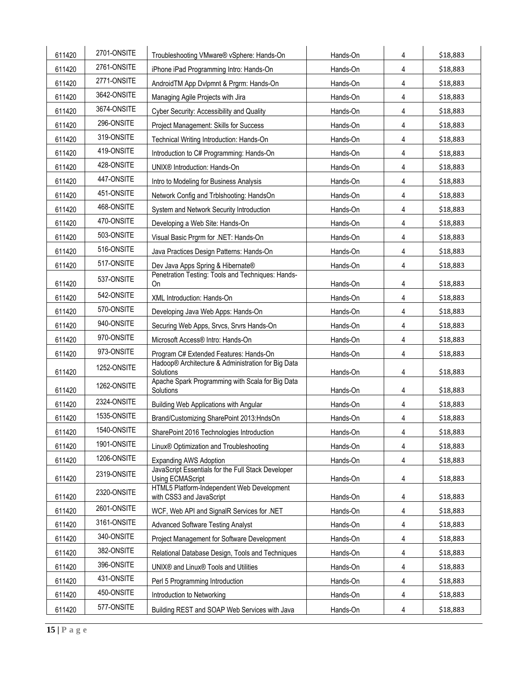| 611420 | 2701-ONSITE | Troubleshooting VMware® vSphere: Hands-On                              | Hands-On | 4 | \$18,883 |
|--------|-------------|------------------------------------------------------------------------|----------|---|----------|
| 611420 | 2761-ONSITE | iPhone iPad Programming Intro: Hands-On                                | Hands-On | 4 | \$18,883 |
| 611420 | 2771-ONSITE | AndroidTM App Dvlpmnt & Prgrm: Hands-On                                | Hands-On | 4 | \$18,883 |
| 611420 | 3642-ONSITE | Managing Agile Projects with Jira                                      | Hands-On | 4 | \$18,883 |
| 611420 | 3674-ONSITE | Cyber Security: Accessibility and Quality                              | Hands-On | 4 | \$18,883 |
| 611420 | 296-ONSITE  | Project Management: Skills for Success                                 | Hands-On | 4 | \$18,883 |
| 611420 | 319-ONSITE  | Technical Writing Introduction: Hands-On                               | Hands-On | 4 | \$18,883 |
| 611420 | 419-ONSITE  | Introduction to C# Programming: Hands-On                               | Hands-On | 4 | \$18,883 |
| 611420 | 428-ONSITE  | UNIX® Introduction: Hands-On                                           | Hands-On | 4 | \$18,883 |
| 611420 | 447-ONSITE  | Intro to Modeling for Business Analysis                                | Hands-On | 4 | \$18,883 |
| 611420 | 451-ONSITE  | Network Config and Trblshooting: HandsOn                               | Hands-On | 4 | \$18,883 |
| 611420 | 468-ONSITE  | System and Network Security Introduction                               | Hands-On | 4 | \$18,883 |
| 611420 | 470-ONSITE  | Developing a Web Site: Hands-On                                        | Hands-On | 4 | \$18,883 |
| 611420 | 503-ONSITE  | Visual Basic Prgrm for .NET: Hands-On                                  | Hands-On | 4 | \$18,883 |
| 611420 | 516-ONSITE  | Java Practices Design Patterns: Hands-On                               | Hands-On | 4 | \$18,883 |
| 611420 | 517-ONSITE  | Dev Java Apps Spring & Hibernate®                                      | Hands-On | 4 | \$18,883 |
| 611420 | 537-ONSITE  | Penetration Testing: Tools and Techniques: Hands-<br>On                | Hands-On | 4 | \$18,883 |
| 611420 | 542-ONSITE  | XML Introduction: Hands-On                                             | Hands-On | 4 | \$18,883 |
| 611420 | 570-ONSITE  | Developing Java Web Apps: Hands-On                                     | Hands-On | 4 | \$18,883 |
| 611420 | 940-ONSITE  | Securing Web Apps, Srvcs, Srvrs Hands-On                               | Hands-On | 4 | \$18,883 |
| 611420 | 970-ONSITE  | Microsoft Access® Intro: Hands-On                                      | Hands-On | 4 | \$18,883 |
| 611420 | 973-ONSITE  | Program C# Extended Features: Hands-On                                 | Hands-On | 4 | \$18,883 |
| 611420 | 1252-ONSITE | Hadoop® Architecture & Administration for Big Data<br>Solutions        | Hands-On | 4 | \$18,883 |
| 611420 | 1262-ONSITE | Apache Spark Programming with Scala for Big Data<br>Solutions          | Hands-On | 4 | \$18,883 |
| 611420 | 2324-ONSITE | Building Web Applications with Angular                                 | Hands-On | 4 | \$18,883 |
| 611420 | 1535-ONSITE | Brand/Customizing SharePoint 2013:HndsOn                               | Hands-On | 4 | \$18,883 |
| 611420 | 1540-ONSITE | SharePoint 2016 Technologies Introduction                              | Hands-On | 4 | \$18,883 |
| 611420 | 1901-ONSITE | Linux <sup>®</sup> Optimization and Troubleshooting                    | Hands-On | 4 | \$18,883 |
| 611420 | 1206-ONSITE | <b>Expanding AWS Adoption</b>                                          | Hands-On | 4 | \$18,883 |
| 611420 | 2319-ONSITE | JavaScript Essentials for the Full Stack Developer<br>Using ECMAScript | Hands-On | 4 | \$18,883 |
| 611420 | 2320-ONSITE | HTML5 Platform-Independent Web Development<br>with CSS3 and JavaScript | Hands-On | 4 | \$18,883 |
| 611420 | 2601-ONSITE | WCF, Web API and SignalR Services for .NET                             | Hands-On | 4 | \$18,883 |
| 611420 | 3161-ONSITE | <b>Advanced Software Testing Analyst</b>                               | Hands-On | 4 | \$18,883 |
| 611420 | 340-ONSITE  | Project Management for Software Development                            | Hands-On | 4 | \$18,883 |
| 611420 | 382-ONSITE  | Relational Database Design, Tools and Techniques                       | Hands-On | 4 | \$18,883 |
| 611420 | 396-ONSITE  | UNIX <sup>®</sup> and Linux <sup>®</sup> Tools and Utilities           | Hands-On | 4 | \$18,883 |
| 611420 | 431-ONSITE  | Perl 5 Programming Introduction                                        | Hands-On | 4 | \$18,883 |
| 611420 | 450-ONSITE  | Introduction to Networking                                             | Hands-On | 4 | \$18,883 |
| 611420 | 577-ONSITE  | Building REST and SOAP Web Services with Java                          | Hands-On | 4 | \$18,883 |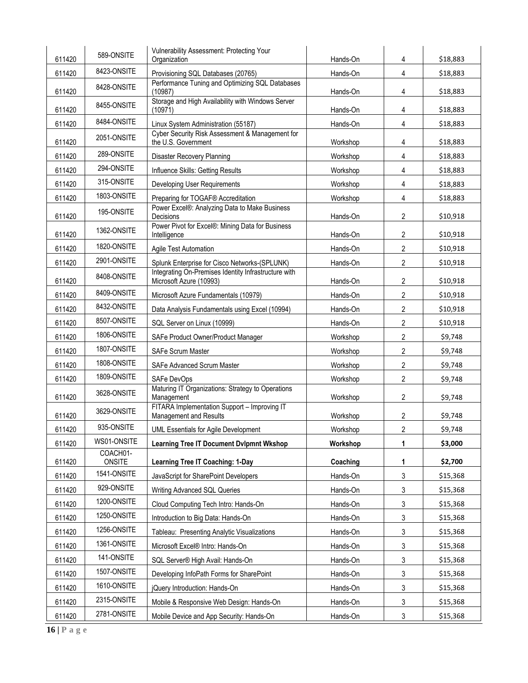|        | 589-ONSITE         | Vulnerability Assessment: Protecting Your                                             |          |                  |          |
|--------|--------------------|---------------------------------------------------------------------------------------|----------|------------------|----------|
| 611420 | 8423-ONSITE        | Organization                                                                          | Hands-On | 4                | \$18,883 |
| 611420 |                    | Provisioning SQL Databases (20765)<br>Performance Tuning and Optimizing SQL Databases | Hands-On | 4                | \$18,883 |
| 611420 | 8428-ONSITE        | (10987)                                                                               | Hands-On | 4                | \$18,883 |
| 611420 | 8455-ONSITE        | Storage and High Availability with Windows Server<br>(10971)                          | Hands-On | 4                | \$18,883 |
| 611420 | 8484-ONSITE        | Linux System Administration (55187)                                                   | Hands-On | 4                | \$18,883 |
| 611420 | 2051-ONSITE        | Cyber Security Risk Assessment & Management for<br>the U.S. Government                | Workshop | 4                | \$18,883 |
| 611420 | 289-ONSITE         | Disaster Recovery Planning                                                            | Workshop | 4                | \$18,883 |
| 611420 | 294-ONSITE         | Influence Skills: Getting Results                                                     | Workshop | 4                | \$18,883 |
| 611420 | 315-ONSITE         | Developing User Requirements                                                          | Workshop | 4                | \$18,883 |
| 611420 | 1803-ONSITE        | Preparing for TOGAF® Accreditation                                                    | Workshop | 4                | \$18,883 |
| 611420 | 195-ONSITE         | Power Excel®: Analyzing Data to Make Business<br>Decisions                            | Hands-On | $\overline{2}$   | \$10,918 |
| 611420 | 1362-ONSITE        | Power Pivot for Excel®: Mining Data for Business<br>Intelligence                      | Hands-On | $\overline{2}$   | \$10,918 |
| 611420 | 1820-ONSITE        | Agile Test Automation                                                                 | Hands-On | $\overline{2}$   | \$10,918 |
| 611420 | 2901-ONSITE        | Splunk Enterprise for Cisco Networks-(SPLUNK)                                         | Hands-On | $\overline{2}$   | \$10,918 |
| 611420 | 8408-ONSITE        | Integrating On-Premises Identity Infrastructure with<br>Microsoft Azure (10993)       | Hands-On | $\overline{2}$   | \$10,918 |
| 611420 | 8409-ONSITE        | Microsoft Azure Fundamentals (10979)                                                  | Hands-On | $\overline{2}$   | \$10,918 |
| 611420 | 8432-ONSITE        | Data Analysis Fundamentals using Excel (10994)                                        | Hands-On | $\overline{2}$   | \$10,918 |
| 611420 | 8507-ONSITE        | SQL Server on Linux (10999)                                                           | Hands-On | $\overline{2}$   | \$10,918 |
| 611420 | 1806-ONSITE        | SAFe Product Owner/Product Manager                                                    | Workshop | $\overline{2}$   | \$9,748  |
| 611420 | 1807-ONSITE        | <b>SAFe Scrum Master</b>                                                              | Workshop | $\overline{c}$   | \$9,748  |
| 611420 | 1808-ONSITE        | SAFe Advanced Scrum Master                                                            | Workshop | $\overline{2}$   | \$9,748  |
| 611420 | 1809-ONSITE        | SAFe DevOps                                                                           | Workshop | $\overline{2}$   | \$9,748  |
| 611420 | 3628-ONSITE        | Maturing IT Organizations: Strategy to Operations<br>Management                       | Workshop | $\overline{2}$   | \$9,748  |
| 611420 | 3629-ONSITE        | FITARA Implementation Support - Improving IT<br>Management and Results                | Workshop | 2                | \$9,748  |
| 611420 | 935-ONSITE         | UML Essentials for Agile Development                                                  | Workshop | $\boldsymbol{2}$ | \$9,748  |
| 611420 | WS01-ONSITE        | <b>Learning Tree IT Document DvIpmnt Wkshop</b>                                       | Workshop | 1                | \$3,000  |
| 611420 | COACH01-<br>ONSITE | <b>Learning Tree IT Coaching: 1-Day</b>                                               | Coaching | 1                | \$2,700  |
| 611420 | 1541-ONSITE        | JavaScript for SharePoint Developers                                                  | Hands-On | 3                | \$15,368 |
| 611420 | 929-ONSITE         | Writing Advanced SQL Queries                                                          | Hands-On | 3                | \$15,368 |
| 611420 | 1200-ONSITE        | Cloud Computing Tech Intro: Hands-On                                                  | Hands-On | 3                | \$15,368 |
| 611420 | 1250-ONSITE        | Introduction to Big Data: Hands-On                                                    | Hands-On | 3                | \$15,368 |
| 611420 | 1256-ONSITE        | Tableau: Presenting Analytic Visualizations                                           | Hands-On | 3                | \$15,368 |
| 611420 | 1361-ONSITE        | Microsoft Excel® Intro: Hands-On                                                      | Hands-On | 3                | \$15,368 |
| 611420 | 141-ONSITE         | SQL Server® High Avail: Hands-On                                                      | Hands-On | 3                | \$15,368 |
| 611420 | 1507-ONSITE        | Developing InfoPath Forms for SharePoint                                              | Hands-On | 3                | \$15,368 |
| 611420 | 1610-ONSITE        | jQuery Introduction: Hands-On                                                         | Hands-On | 3                | \$15,368 |
| 611420 | 2315-ONSITE        | Mobile & Responsive Web Design: Hands-On                                              |          |                  |          |
|        | 2781-ONSITE        |                                                                                       | Hands-On | 3                | \$15,368 |
| 611420 |                    | Mobile Device and App Security: Hands-On                                              | Hands-On | 3                | \$15,368 |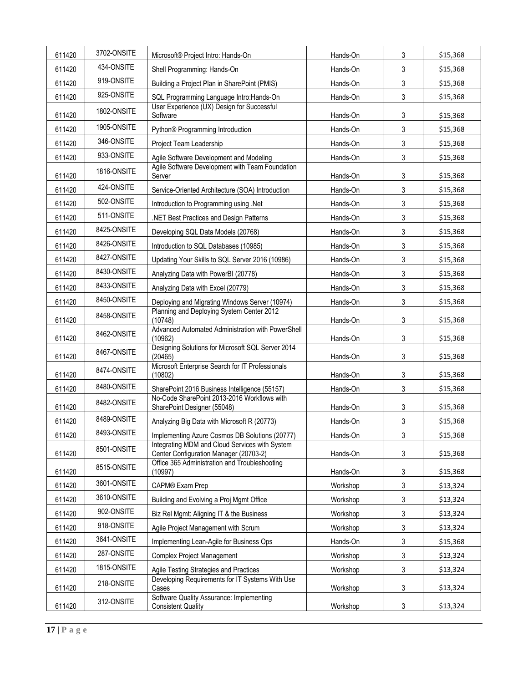| 611420 | 3702-ONSITE | Microsoft® Project Intro: Hands-On                                                      | Hands-On | 3 | \$15,368 |
|--------|-------------|-----------------------------------------------------------------------------------------|----------|---|----------|
| 611420 | 434-ONSITE  | Shell Programming: Hands-On                                                             | Hands-On | 3 | \$15,368 |
| 611420 | 919-ONSITE  | Building a Project Plan in SharePoint (PMIS)                                            | Hands-On | 3 | \$15,368 |
| 611420 | 925-ONSITE  | SQL Programming Language Intro: Hands-On                                                | Hands-On | 3 | \$15,368 |
| 611420 | 1802-ONSITE | User Experience (UX) Design for Successful<br>Software                                  | Hands-On | 3 | \$15,368 |
| 611420 | 1905-ONSITE | Python® Programming Introduction                                                        | Hands-On | 3 | \$15,368 |
| 611420 | 346-ONSITE  | Project Team Leadership                                                                 | Hands-On | 3 | \$15,368 |
| 611420 | 933-ONSITE  | Agile Software Development and Modeling                                                 | Hands-On | 3 | \$15,368 |
| 611420 | 1816-ONSITE | Agile Software Development with Team Foundation<br>Server                               | Hands-On | 3 | \$15,368 |
| 611420 | 424-ONSITE  | Service-Oriented Architecture (SOA) Introduction                                        | Hands-On | 3 | \$15,368 |
| 611420 | 502-ONSITE  | Introduction to Programming using .Net                                                  | Hands-On | 3 | \$15,368 |
| 611420 | 511-ONSITE  | .NET Best Practices and Design Patterns                                                 | Hands-On | 3 | \$15,368 |
| 611420 | 8425-ONSITE | Developing SQL Data Models (20768)                                                      | Hands-On | 3 | \$15,368 |
| 611420 | 8426-ONSITE | Introduction to SQL Databases (10985)                                                   | Hands-On | 3 | \$15,368 |
| 611420 | 8427-ONSITE | Updating Your Skills to SQL Server 2016 (10986)                                         | Hands-On | 3 | \$15,368 |
| 611420 | 8430-ONSITE | Analyzing Data with PowerBI (20778)                                                     | Hands-On | 3 | \$15,368 |
| 611420 | 8433-ONSITE | Analyzing Data with Excel (20779)                                                       | Hands-On | 3 | \$15,368 |
| 611420 | 8450-ONSITE | Deploying and Migrating Windows Server (10974)                                          | Hands-On | 3 | \$15,368 |
| 611420 | 8458-ONSITE | Planning and Deploying System Center 2012<br>(10748)                                    | Hands-On | 3 | \$15,368 |
| 611420 | 8462-ONSITE | Advanced Automated Administration with PowerShell<br>(10962)                            | Hands-On | 3 | \$15,368 |
| 611420 | 8467-ONSITE | Designing Solutions for Microsoft SQL Server 2014<br>(20465)                            | Hands-On | 3 | \$15,368 |
| 611420 | 8474-ONSITE | Microsoft Enterprise Search for IT Professionals<br>(10802)                             | Hands-On | 3 | \$15,368 |
| 611420 | 8480-ONSITE | SharePoint 2016 Business Intelligence (55157)                                           | Hands-On | 3 | \$15,368 |
| 611420 | 8482-ONSITE | No-Code SharePoint 2013-2016 Workflows with<br>SharePoint Designer (55048)              | Hands-On | 3 | \$15,368 |
| 611420 | 8489-ONSITE | Analyzing Big Data with Microsoft R (20773)                                             | Hands-On | 3 | \$15,368 |
| 611420 | 8493-ONSITE | Implementing Azure Cosmos DB Solutions (20777)                                          | Hands-On | 3 | \$15,368 |
| 611420 | 8501-ONSITE | Integrating MDM and Cloud Services with System                                          |          |   |          |
|        | 8515-ONSITE | Center Configuration Manager (20703-2)<br>Office 365 Administration and Troubleshooting | Hands-On | 3 | \$15,368 |
| 611420 |             | (10997)                                                                                 | Hands-On | 3 | \$15,368 |
| 611420 | 3601-ONSITE | CAPM® Exam Prep                                                                         | Workshop | 3 | \$13,324 |
| 611420 | 3610-ONSITE | Building and Evolving a Proj Mgmt Office                                                | Workshop | 3 | \$13,324 |
| 611420 | 902-ONSITE  | Biz Rel Mgmt: Aligning IT & the Business                                                | Workshop | 3 | \$13,324 |
| 611420 | 918-ONSITE  | Agile Project Management with Scrum                                                     | Workshop | 3 | \$13,324 |
| 611420 | 3641-ONSITE | Implementing Lean-Agile for Business Ops                                                | Hands-On | 3 | \$15,368 |
| 611420 | 287-ONSITE  | <b>Complex Project Management</b>                                                       | Workshop | 3 | \$13,324 |
| 611420 | 1815-ONSITE | Agile Testing Strategies and Practices                                                  | Workshop | 3 | \$13,324 |
| 611420 | 218-ONSITE  | Developing Requirements for IT Systems With Use<br>Cases                                | Workshop | 3 | \$13,324 |
| 611420 | 312-ONSITE  | Software Quality Assurance: Implementing<br><b>Consistent Quality</b>                   | Workshop | 3 | \$13,324 |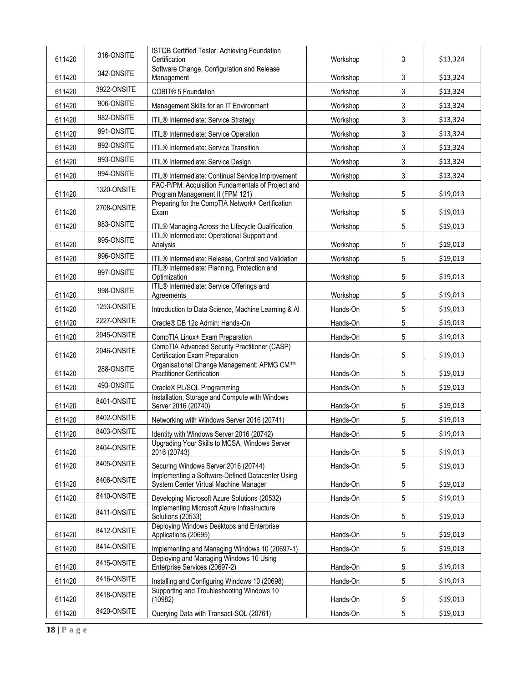| 611420 | 316-ONSITE  | ISTQB Certified Tester: Achieving Foundation<br>Certification                             | Workshop | 3          | \$13,324 |
|--------|-------------|-------------------------------------------------------------------------------------------|----------|------------|----------|
| 611420 | 342-ONSITE  | Software Change, Configuration and Release<br>Management                                  | Workshop | 3          | \$13,324 |
| 611420 | 3922-ONSITE | COBIT® 5 Foundation                                                                       | Workshop | 3          | \$13,324 |
| 611420 | 906-ONSITE  | Management Skills for an IT Environment                                                   | Workshop | 3          | \$13,324 |
| 611420 | 982-ONSITE  | ITIL® Intermediate: Service Strategy                                                      | Workshop | 3          | \$13,324 |
| 611420 | 991-ONSITE  | ITIL® Intermediate: Service Operation                                                     | Workshop | 3          | \$13,324 |
| 611420 | 992-ONSITE  | ITIL® Intermediate: Service Transition                                                    | Workshop | 3          | \$13,324 |
| 611420 | 993-ONSITE  | ITIL® Intermediate: Service Design                                                        | Workshop | 3          | \$13,324 |
| 611420 | 994-ONSITE  | ITIL® Intermediate: Continual Service Improvement                                         | Workshop | 3          | \$13,324 |
| 611420 | 1320-ONSITE | FAC-P/PM: Acquisition Fundamentals of Project and<br>Program Management II (FPM 121)      | Workshop | 5          | \$19,013 |
| 611420 | 2708-ONSITE | Preparing for the CompTIA Network+ Certification<br>Exam                                  | Workshop | 5          | \$19,013 |
| 611420 | 983-ONSITE  | ITIL® Managing Across the Lifecycle Qualification                                         | Workshop | 5          | \$19,013 |
| 611420 | 995-ONSITE  | ITIL® Intermediate: Operational Support and<br>Analysis                                   | Workshop | 5          | \$19,013 |
| 611420 | 996-ONSITE  | ITIL® Intermediate: Release, Control and Validation                                       | Workshop | 5          | \$19,013 |
| 611420 | 997-ONSITE  | ITIL® Intermediate: Planning, Protection and<br>Optimization                              | Workshop | 5          | \$19,013 |
| 611420 | 998-ONSITE  | ITIL® Intermediate: Service Offerings and<br>Agreements                                   | Workshop | 5          | \$19,013 |
| 611420 | 1253-ONSITE | Introduction to Data Science, Machine Learning & Al                                       | Hands-On | 5          | \$19,013 |
| 611420 | 2227-ONSITE | Oracle® DB 12c Admin: Hands-On                                                            | Hands-On | 5          | \$19,013 |
| 611420 | 2045-ONSITE | CompTIA Linux+ Exam Preparation                                                           | Hands-On | 5          | \$19,013 |
| 611420 | 2046-ONSITE | CompTIA Advanced Security Practitioner (CASP)<br>Certification Exam Preparation           | Hands-On | 5          | \$19,013 |
| 611420 | 288-ONSITE  | Organisational Change Management: APMG CM™<br><b>Practitioner Certification</b>           | Hands-On | 5          | \$19,013 |
| 611420 | 493-ONSITE  | Oracle® PL/SQL Programming                                                                | Hands-On | 5          | \$19,013 |
| 611420 | 8401-ONSITE | Installation, Storage and Compute with Windows<br>Server 2016 (20740)                     | Hands-On | 5          | \$19,013 |
| 611420 | 8402-ONSITE | Networking with Windows Server 2016 (20741)                                               | Hands-On | $\sqrt{5}$ | \$19,013 |
| 611420 | 8403-ONSITE | Identity with Windows Server 2016 (20742)                                                 | Hands-On | 5          | \$19,013 |
| 611420 | 8404-ONSITE | Upgrading Your Skills to MCSA: Windows Server<br>2016 (20743)                             | Hands-On | 5          | \$19,013 |
| 611420 | 8405-ONSITE | Securing Windows Server 2016 (20744)                                                      | Hands-On | 5          | \$19,013 |
| 611420 | 8406-ONSITE | Implementing a Software-Defined Datacenter Using<br>System Center Virtual Machine Manager | Hands-On | 5          | \$19,013 |
| 611420 | 8410-ONSITE | Developing Microsoft Azure Solutions (20532)                                              | Hands-On | 5          | \$19,013 |
| 611420 | 8411-ONSITE | Implementing Microsoft Azure Infrastructure<br>Solutions (20533)                          | Hands-On | 5          | \$19,013 |
| 611420 | 8412-ONSITE | Deploying Windows Desktops and Enterprise<br>Applications (20695)                         | Hands-On | 5          | \$19,013 |
| 611420 | 8414-ONSITE | Implementing and Managing Windows 10 (20697-1)                                            | Hands-On | 5          | \$19,013 |
| 611420 | 8415-ONSITE | Deploying and Managing Windows 10 Using<br>Enterprise Services (20697-2)                  | Hands-On | 5          | \$19,013 |
| 611420 | 8416-ONSITE | Installing and Configuring Windows 10 (20698)                                             | Hands-On | 5          | \$19,013 |
| 611420 | 8418-ONSITE | Supporting and Troubleshooting Windows 10<br>(10982)                                      | Hands-On | 5          | \$19,013 |
| 611420 | 8420-ONSITE | Querying Data with Transact-SQL (20761)                                                   | Hands-On | 5          | \$19,013 |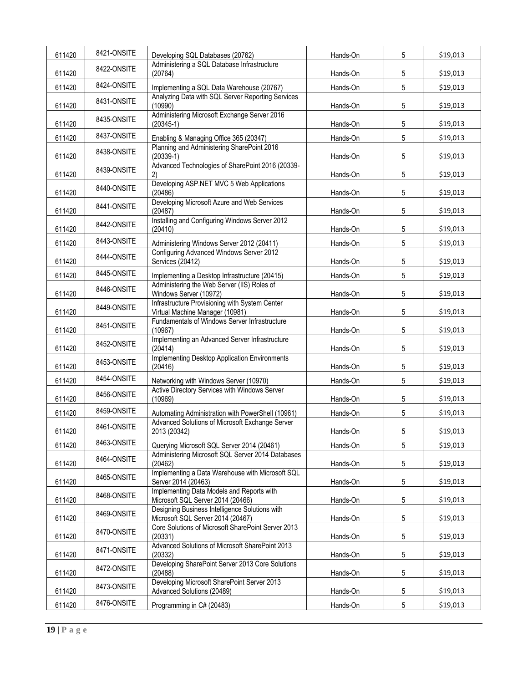| 611420 | 8421-ONSITE | Developing SQL Databases (20762)                                                    | Hands-On | 5               | \$19,013 |
|--------|-------------|-------------------------------------------------------------------------------------|----------|-----------------|----------|
| 611420 | 8422-ONSITE | Administering a SQL Database Infrastructure<br>(20764)                              | Hands-On | 5               | \$19,013 |
| 611420 | 8424-ONSITE | Implementing a SQL Data Warehouse (20767)                                           | Hands-On | 5               | \$19,013 |
| 611420 | 8431-ONSITE | Analyzing Data with SQL Server Reporting Services<br>(10990)                        | Hands-On | 5               | \$19,013 |
| 611420 | 8435-ONSITE | Administering Microsoft Exchange Server 2016<br>$(20345-1)$                         | Hands-On | 5               | \$19,013 |
| 611420 | 8437-ONSITE | Enabling & Managing Office 365 (20347)                                              | Hands-On | 5               | \$19,013 |
| 611420 | 8438-ONSITE | Planning and Administering SharePoint 2016<br>$(20339-1)$                           | Hands-On | 5               | \$19,013 |
| 611420 | 8439-ONSITE | Advanced Technologies of SharePoint 2016 (20339-<br>2)                              | Hands-On | 5               | \$19,013 |
| 611420 | 8440-ONSITE | Developing ASP.NET MVC 5 Web Applications<br>(20486)                                | Hands-On | 5               | \$19,013 |
| 611420 | 8441-ONSITE | Developing Microsoft Azure and Web Services<br>(20487)                              | Hands-On | 5               | \$19,013 |
| 611420 | 8442-ONSITE | Installing and Configuring Windows Server 2012<br>(20410)                           | Hands-On | 5               | \$19,013 |
| 611420 | 8443-ONSITE | Administering Windows Server 2012 (20411)                                           | Hands-On | 5               | \$19,013 |
| 611420 | 8444-ONSITE | Configuring Advanced Windows Server 2012<br>Services (20412)                        | Hands-On | 5               | \$19,013 |
| 611420 | 8445-ONSITE | Implementing a Desktop Infrastructure (20415)                                       | Hands-On | 5               | \$19,013 |
| 611420 | 8446-ONSITE | Administering the Web Server (IIS) Roles of<br>Windows Server (10972)               | Hands-On | 5               | \$19,013 |
| 611420 | 8449-ONSITE | Infrastructure Provisioning with System Center<br>Virtual Machine Manager (10981)   | Hands-On | 5               | \$19,013 |
| 611420 | 8451-ONSITE | Fundamentals of Windows Server Infrastructure<br>(10967)                            | Hands-On | 5               | \$19,013 |
| 611420 | 8452-ONSITE | Implementing an Advanced Server Infrastructure<br>(20414)                           | Hands-On | 5               | \$19,013 |
| 611420 | 8453-ONSITE | Implementing Desktop Application Environments<br>(20416)                            | Hands-On | 5               | \$19,013 |
| 611420 | 8454-ONSITE | Networking with Windows Server (10970)                                              | Hands-On | 5               | \$19,013 |
| 611420 | 8456-ONSITE | Active Directory Services with Windows Server<br>(10969)                            | Hands-On | 5               | \$19,013 |
| 611420 | 8459-ONSITE | Automating Administration with PowerShell (10961)                                   | Hands-On | 5               | \$19,013 |
| 611420 | 8461-ONSITE | Advanced Solutions of Microsoft Exchange Server<br>2013 (20342)                     | Hands-On | 5               | \$19,013 |
| 611420 | 8463-ONSITE | Querying Microsoft SQL Server 2014 (20461)                                          | Hands-On | $5\phantom{.0}$ | \$19,013 |
| 611420 | 8464-ONSITE | Administering Microsoft SQL Server 2014 Databases<br>(20462)                        | Hands-On | $5\phantom{.0}$ | \$19,013 |
| 611420 | 8465-ONSITE | Implementing a Data Warehouse with Microsoft SQL<br>Server 2014 (20463)             | Hands-On | 5               | \$19,013 |
| 611420 | 8468-ONSITE | Implementing Data Models and Reports with<br>Microsoft SQL Server 2014 (20466)      | Hands-On | $5\phantom{.0}$ | \$19,013 |
| 611420 | 8469-ONSITE | Designing Business Intelligence Solutions with<br>Microsoft SQL Server 2014 (20467) | Hands-On | 5               | \$19,013 |
| 611420 | 8470-ONSITE | Core Solutions of Microsoft SharePoint Server 2013<br>(20331)                       | Hands-On | $5\phantom{.0}$ | \$19,013 |
| 611420 | 8471-ONSITE | Advanced Solutions of Microsoft SharePoint 2013<br>(20332)                          | Hands-On | 5               | \$19,013 |
| 611420 | 8472-ONSITE | Developing SharePoint Server 2013 Core Solutions<br>(20488)                         | Hands-On | $5\phantom{.0}$ | \$19,013 |
| 611420 | 8473-ONSITE | Developing Microsoft SharePoint Server 2013<br>Advanced Solutions (20489)           | Hands-On | 5               | \$19,013 |
| 611420 | 8476-ONSITE | Programming in C# (20483)                                                           | Hands-On | 5               | \$19,013 |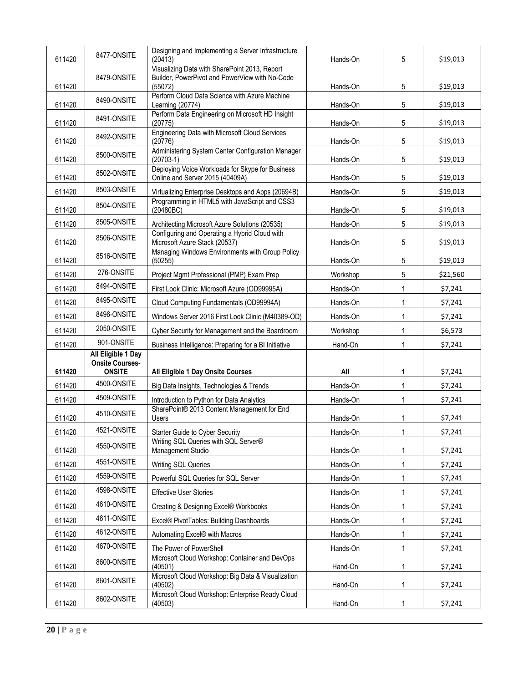| 611420 | 8477-ONSITE                             | Designing and Implementing a Server Infrastructure<br>(20413)                       | Hands-On | 5            | \$19,013 |
|--------|-----------------------------------------|-------------------------------------------------------------------------------------|----------|--------------|----------|
|        |                                         | Visualizing Data with SharePoint 2013, Report                                       |          |              |          |
| 611420 | 8479-ONSITE                             | Builder, PowerPivot and PowerView with No-Code<br>(55072)                           | Hands-On | 5            | \$19,013 |
| 611420 | 8490-ONSITE                             | Perform Cloud Data Science with Azure Machine<br>Learning (20774)                   | Hands-On | 5            | \$19,013 |
| 611420 | 8491-ONSITE                             | Perform Data Engineering on Microsoft HD Insight<br>(20775)                         | Hands-On | 5            | \$19,013 |
| 611420 | 8492-ONSITE                             | <b>Engineering Data with Microsoft Cloud Services</b><br>(20776)                    | Hands-On | 5            | \$19,013 |
| 611420 | 8500-ONSITE                             | Administering System Center Configuration Manager<br>$(20703-1)$                    | Hands-On | 5            | \$19,013 |
| 611420 | 8502-ONSITE                             | Deploying Voice Workloads for Skype for Business<br>Online and Server 2015 (40409A) | Hands-On | 5            | \$19,013 |
| 611420 | 8503-ONSITE                             | Virtualizing Enterprise Desktops and Apps (20694B)                                  | Hands-On | 5            | \$19,013 |
| 611420 | 8504-ONSITE                             | Programming in HTML5 with JavaScript and CSS3<br>(20480BC)                          | Hands-On | 5            | \$19,013 |
| 611420 | 8505-ONSITE                             | Architecting Microsoft Azure Solutions (20535)                                      | Hands-On | 5            | \$19,013 |
| 611420 | 8506-ONSITE                             | Configuring and Operating a Hybrid Cloud with<br>Microsoft Azure Stack (20537)      | Hands-On | 5            | \$19,013 |
| 611420 | 8516-ONSITE                             | Managing Windows Environments with Group Policy<br>(50255)                          | Hands-On | 5            | \$19,013 |
| 611420 | 276-ONSITE                              | Project Mgmt Professional (PMP) Exam Prep                                           | Workshop | 5            | \$21,560 |
| 611420 | 8494-ONSITE                             | First Look Clinic: Microsoft Azure (OD99995A)                                       | Hands-On | 1            | \$7,241  |
| 611420 | 8495-ONSITE                             | Cloud Computing Fundamentals (OD99994A)                                             | Hands-On | 1            | \$7,241  |
| 611420 | 8496-ONSITE                             | Windows Server 2016 First Look Clinic (M40389-OD)                                   | Hands-On | 1            | \$7,241  |
| 611420 | 2050-ONSITE                             | Cyber Security for Management and the Boardroom                                     | Workshop | 1            | \$6,573  |
| 611420 | 901-ONSITE                              | Business Intelligence: Preparing for a BI Initiative                                | Hand-On  |              | \$7,241  |
|        | All Eligible 1 Day                      |                                                                                     |          |              |          |
| 611420 | <b>Onsite Courses-</b><br><b>ONSITE</b> | All Eligible 1 Day Onsite Courses                                                   | All      | 1            | \$7,241  |
| 611420 | 4500-ONSITE                             | Big Data Insights, Technologies & Trends                                            | Hands-On | $\mathbf{1}$ | \$7,241  |
| 611420 | 4509-ONSITE                             | Introduction to Python for Data Analytics                                           | Hands-On | 1            | \$7,241  |
| 611420 | 4510-ONSITE                             | SharePoint® 2013 Content Management for End<br>Users                                | Hands-On | 1            | \$7,241  |
| 611420 | 4521-ONSITE                             | Starter Guide to Cyber Security                                                     | Hands-On | $\mathbf 1$  | \$7,241  |
| 611420 | 4550-ONSITE                             | Writing SQL Queries with SQL Server®<br>Management Studio                           | Hands-On | 1            | \$7,241  |
| 611420 | 4551-ONSITE                             | Writing SQL Queries                                                                 | Hands-On | 1            | \$7,241  |
| 611420 | 4559-ONSITE                             | Powerful SQL Queries for SQL Server                                                 | Hands-On | 1            | \$7,241  |
| 611420 | 4598-ONSITE                             | <b>Effective User Stories</b>                                                       | Hands-On | 1            | \$7,241  |
| 611420 | 4610-ONSITE                             | Creating & Designing Excel® Workbooks                                               | Hands-On | 1            | \$7,241  |
| 611420 | 4611-ONSITE                             | Excel® PivotTables: Building Dashboards                                             | Hands-On | $\mathbf{1}$ | \$7,241  |
| 611420 | 4612-ONSITE                             | Automating Excel® with Macros                                                       | Hands-On | 1            | \$7,241  |
| 611420 | 4670-ONSITE                             | The Power of PowerShell                                                             | Hands-On | 1            | \$7,241  |
| 611420 | 8600-ONSITE                             | Microsoft Cloud Workshop: Container and DevOps<br>(40501)                           | Hand-On  | 1            | \$7,241  |
| 611420 | 8601-ONSITE                             | Microsoft Cloud Workshop: Big Data & Visualization<br>(40502)                       | Hand-On  | 1            | \$7,241  |
| 611420 | 8602-ONSITE                             | Microsoft Cloud Workshop: Enterprise Ready Cloud<br>(40503)                         | Hand-On  | 1            | \$7,241  |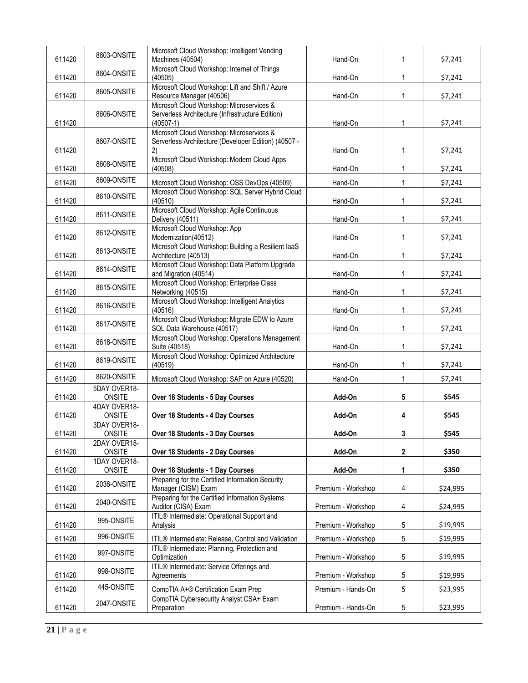| 611420 | 8603-ONSITE                   | Microsoft Cloud Workshop: Intelligent Vending<br>Machines (40504)            | Hand-On            | 1               | \$7,241  |
|--------|-------------------------------|------------------------------------------------------------------------------|--------------------|-----------------|----------|
| 611420 | 8604-ONSITE                   | Microsoft Cloud Workshop: Internet of Things<br>(40505)                      | Hand-On            | $\mathbf{1}$    | \$7,241  |
| 611420 | 8605-ONSITE                   | Microsoft Cloud Workshop: Lift and Shift / Azure<br>Resource Manager (40506) | Hand-On            | $\mathbf{1}$    | \$7,241  |
|        |                               | Microsoft Cloud Workshop: Microservices &                                    |                    |                 |          |
| 611420 | 8606-ONSITE                   | Serverless Architecture (Infrastructure Edition)<br>$(40507-1)$              | Hand-On            | $\mathbf{1}$    | \$7,241  |
|        |                               | Microsoft Cloud Workshop: Microservices &                                    |                    |                 |          |
|        | 8607-ONSITE                   | Serverless Architecture (Developer Edition) (40507 -                         |                    |                 |          |
| 611420 |                               | 2)<br>Microsoft Cloud Workshop: Modern Cloud Apps                            | Hand-On            | $\mathbf{1}$    | \$7,241  |
| 611420 | 8608-ONSITE                   | (40508)                                                                      | Hand-On            | 1               | \$7,241  |
| 611420 | 8609-ONSITE                   | Microsoft Cloud Workshop: OSS DevOps (40509)                                 | Hand-On            | 1               | \$7,241  |
|        | 8610-ONSITE                   | Microsoft Cloud Workshop: SQL Server Hybrid Cloud                            |                    |                 |          |
| 611420 |                               | (40510)<br>Microsoft Cloud Workshop: Agile Continuous                        | Hand-On            | 1               | \$7,241  |
| 611420 | 8611-ONSITE                   | Delivery (40511)                                                             | Hand-On            | 1               | \$7,241  |
|        | 8612-ONSITE                   | Microsoft Cloud Workshop: App                                                |                    |                 |          |
| 611420 |                               | Modernization(40512)                                                         | Hand-On            | 1               | \$7,241  |
| 611420 | 8613-ONSITE                   | Microsoft Cloud Workshop: Building a Resilient laaS<br>Architecture (40513)  | Hand-On            | $\mathbf{1}$    | \$7,241  |
|        | 8614-ONSITE                   | Microsoft Cloud Workshop: Data Platform Upgrade                              |                    |                 |          |
| 611420 |                               | and Migration (40514)                                                        | Hand-On            | 1               | \$7,241  |
| 611420 | 8615-ONSITE                   | Microsoft Cloud Workshop: Enterprise Class<br>Networking (40515)             | Hand-On            | $\mathbf{1}$    | \$7,241  |
|        |                               | Microsoft Cloud Workshop: Intelligent Analytics                              |                    |                 |          |
| 611420 | 8616-ONSITE                   | (40516)                                                                      | Hand-On            | 1               | \$7,241  |
| 611420 | 8617-ONSITE                   | Microsoft Cloud Workshop: Migrate EDW to Azure<br>SQL Data Warehouse (40517) | Hand-On            | $\mathbf{1}$    | \$7,241  |
|        | 8618-ONSITE                   | Microsoft Cloud Workshop: Operations Management                              |                    |                 |          |
| 611420 |                               | Suite (40518)                                                                | Hand-On            | $\mathbf{1}$    | \$7,241  |
| 611420 | 8619-ONSITE                   | Microsoft Cloud Workshop: Optimized Architecture<br>(40519)                  | Hand-On            | $\mathbf{1}$    | \$7,241  |
|        | 8620-ONSITE                   |                                                                              |                    | $\mathbf{1}$    | \$7,241  |
| 611420 | 5DAY OVER18-                  | Microsoft Cloud Workshop: SAP on Azure (40520)                               | Hand-On            |                 |          |
| 611420 | ONSITE                        | Over 18 Students - 5 Day Courses                                             | Add-On             | 5               | \$545    |
|        | 4DAY OVER18-                  |                                                                              |                    |                 |          |
| 611420 | <b>ONSITE</b><br>3DAY OVER18- | Over 18 Students - 4 Day Courses                                             | Add-On             | 4               | \$545    |
| 611420 | ONSITE                        | Over 18 Students - 3 Day Courses                                             | Add-On             | 3               | \$545    |
|        | 2DAY OVER18-                  |                                                                              |                    |                 |          |
| 611420 | ONSITE<br>1DAY OVER18-        | Over 18 Students - 2 Day Courses                                             | Add-On             | $\mathbf{2}$    | \$350    |
| 611420 | ONSITE                        | Over 18 Students - 1 Day Courses                                             | Add-On             | 1               | \$350    |
|        | 2036-ONSITE                   | Preparing for the Certified Information Security                             |                    |                 |          |
| 611420 |                               | Manager (CISM) Exam<br>Preparing for the Certified Information Systems       | Premium - Workshop | 4               | \$24,995 |
| 611420 | 2040-ONSITE                   | Auditor (CISA) Exam                                                          | Premium - Workshop | 4               | \$24,995 |
|        | 995-ONSITE                    | ITIL <sup>®</sup> Intermediate: Operational Support and                      |                    |                 |          |
| 611420 |                               | Analysis                                                                     | Premium - Workshop | 5               | \$19,995 |
| 611420 | 996-ONSITE                    | ITIL® Intermediate: Release, Control and Validation                          | Premium - Workshop | $5\phantom{.0}$ | \$19,995 |
| 611420 | 997-ONSITE                    | ITIL® Intermediate: Planning, Protection and<br>Optimization                 | Premium - Workshop | 5               | \$19,995 |
|        |                               | ITIL® Intermediate: Service Offerings and                                    |                    |                 |          |
| 611420 | 998-ONSITE                    | Agreements                                                                   | Premium - Workshop | 5               | \$19,995 |
| 611420 | 445-ONSITE                    | CompTIA A+® Certification Exam Prep                                          | Premium - Hands-On | 5               | \$23,995 |
|        | 2047-ONSITE                   | CompTIA Cybersecurity Analyst CSA+ Exam                                      |                    |                 |          |
| 611420 |                               | Preparation                                                                  | Premium - Hands-On | 5               | \$23,995 |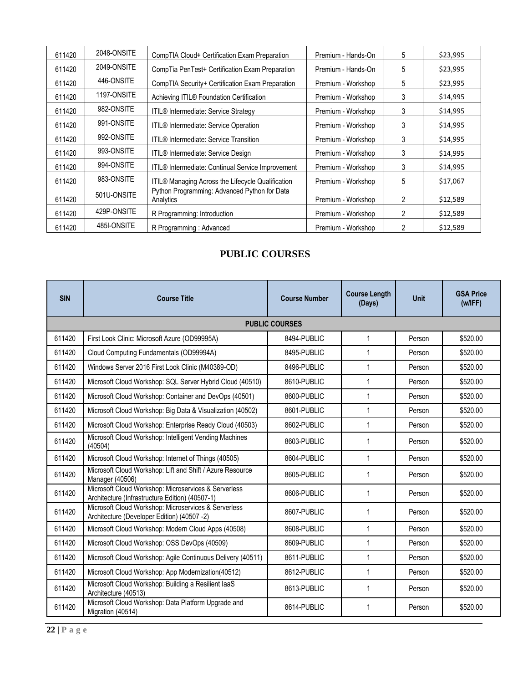| 611420 | 2048-ONSITE | CompTIA Cloud+ Certification Exam Preparation             | Premium - Hands-On | 5 | \$23,995 |
|--------|-------------|-----------------------------------------------------------|--------------------|---|----------|
| 611420 | 2049-ONSITE | CompTia PenTest+ Certification Exam Preparation           | Premium - Hands-On | 5 | \$23,995 |
| 611420 | 446-ONSITE  | CompTIA Security+ Certification Exam Preparation          | Premium - Workshop | 5 | \$23,995 |
| 611420 | 1197-ONSITE | Achieving ITIL® Foundation Certification                  | Premium - Workshop | 3 | \$14,995 |
| 611420 | 982-ONSITE  | ITIL® Intermediate: Service Strategy                      | Premium - Workshop | 3 | \$14,995 |
| 611420 | 991-ONSITE  | <b>ITIL<sup>®</sup></b> Intermediate: Service Operation   | Premium - Workshop | 3 | \$14,995 |
| 611420 | 992-ONSITE  | <b>ITIL<sup>®</sup></b> Intermediate: Service Transition  | Premium - Workshop | 3 | \$14,995 |
| 611420 | 993-ONSITE  | ITIL <sup>®</sup> Intermediate: Service Design            | Premium - Workshop | 3 | \$14,995 |
| 611420 | 994-ONSITE  | ITIL® Intermediate: Continual Service Improvement         | Premium - Workshop | 3 | \$14,995 |
| 611420 | 983-ONSITE  | ITIL® Managing Across the Lifecycle Qualification         | Premium - Workshop | 5 | \$17,067 |
| 611420 | 501U-ONSITE | Python Programming: Advanced Python for Data<br>Analytics | Premium - Workshop | 2 | \$12,589 |
| 611420 | 429P-ONSITE | R Programming: Introduction                               | Premium - Workshop | 2 | \$12,589 |
| 611420 | 485I-ONSITE | R Programming: Advanced                                   | Premium - Workshop | 2 | \$12,589 |

# **PUBLIC COURSES**

| <b>SIN</b> | <b>Course Title</b>                                                                                     | <b>Course Number</b>  | <b>Course Length</b><br>(Days) | <b>Unit</b> | <b>GSA Price</b><br>(w/IFF) |
|------------|---------------------------------------------------------------------------------------------------------|-----------------------|--------------------------------|-------------|-----------------------------|
|            |                                                                                                         | <b>PUBLIC COURSES</b> |                                |             |                             |
| 611420     | First Look Clinic: Microsoft Azure (OD99995A)                                                           | 8494-PUBLIC           | $\mathbf{1}$                   | Person      | \$520.00                    |
| 611420     | Cloud Computing Fundamentals (OD99994A)                                                                 | 8495-PUBLIC           | $\mathbf{1}$                   | Person      | \$520.00                    |
| 611420     | Windows Server 2016 First Look Clinic (M40389-OD)                                                       | 8496-PUBLIC           | $\mathbf{1}$                   | Person      | \$520.00                    |
| 611420     | Microsoft Cloud Workshop: SQL Server Hybrid Cloud (40510)                                               | 8610-PUBLIC           | $\mathbf{1}$                   | Person      | \$520.00                    |
| 611420     | Microsoft Cloud Workshop: Container and DevOps (40501)                                                  | 8600-PUBLIC           | $\mathbf{1}$                   | Person      | \$520.00                    |
| 611420     | Microsoft Cloud Workshop: Big Data & Visualization (40502)                                              | 8601-PUBLIC           | $\mathbf{1}$                   | Person      | \$520.00                    |
| 611420     | Microsoft Cloud Workshop: Enterprise Ready Cloud (40503)                                                | 8602-PUBLIC           | $\mathbf 1$                    | Person      | \$520.00                    |
| 611420     | Microsoft Cloud Workshop: Intelligent Vending Machines<br>(40504)                                       | 8603-PUBLIC           | $\mathbf{1}$                   | Person      | \$520.00                    |
| 611420     | Microsoft Cloud Workshop: Internet of Things (40505)                                                    | 8604-PUBLIC           | $\mathbf{1}$                   | Person      | \$520.00                    |
| 611420     | Microsoft Cloud Workshop: Lift and Shift / Azure Resource<br>Manager (40506)                            | 8605-PUBLIC           | 1                              | Person      | \$520.00                    |
| 611420     | Microsoft Cloud Workshop: Microservices & Serverless<br>Architecture (Infrastructure Edition) (40507-1) | 8606-PUBLIC           | $\mathbf{1}$                   | Person      | \$520.00                    |
| 611420     | Microsoft Cloud Workshop: Microservices & Serverless<br>Architecture (Developer Edition) (40507 -2)     | 8607-PUBLIC           | $\mathbf{1}$                   | Person      | \$520.00                    |
| 611420     | Microsoft Cloud Workshop: Modern Cloud Apps (40508)                                                     | 8608-PUBLIC           | $\mathbf{1}$                   | Person      | \$520.00                    |
| 611420     | Microsoft Cloud Workshop: OSS DevOps (40509)                                                            | 8609-PUBLIC           | $\mathbf 1$                    | Person      | \$520.00                    |
| 611420     | Microsoft Cloud Workshop: Agile Continuous Delivery (40511)                                             | 8611-PUBLIC           | $\mathbf{1}$                   | Person      | \$520.00                    |
| 611420     | Microsoft Cloud Workshop: App Modernization(40512)                                                      | 8612-PUBLIC           | $\mathbf{1}$                   | Person      | \$520.00                    |
| 611420     | Microsoft Cloud Workshop: Building a Resilient laaS<br>Architecture (40513)                             | 8613-PUBLIC           | $\mathbf 1$                    | Person      | \$520.00                    |
| 611420     | Microsoft Cloud Workshop: Data Platform Upgrade and<br>Migration (40514)                                | 8614-PUBLIC           | $\mathbf{1}$                   | Person      | \$520.00                    |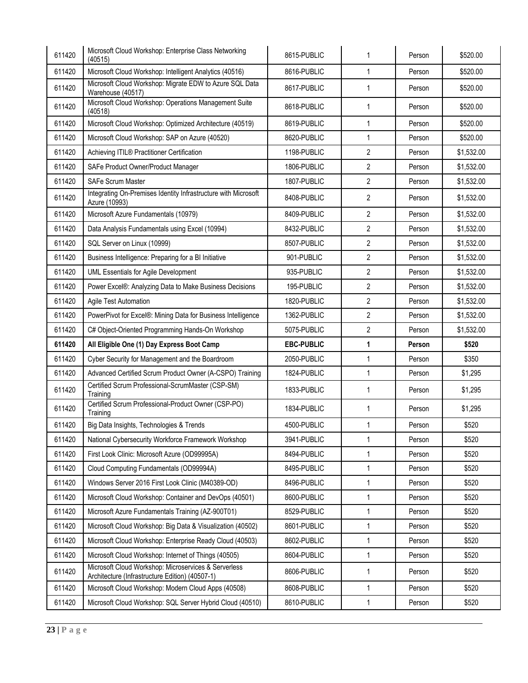| 611420 | Microsoft Cloud Workshop: Enterprise Class Networking<br>(40515)                                        | 8615-PUBLIC       | $\mathbf{1}$   | Person | \$520.00   |
|--------|---------------------------------------------------------------------------------------------------------|-------------------|----------------|--------|------------|
| 611420 | Microsoft Cloud Workshop: Intelligent Analytics (40516)                                                 | 8616-PUBLIC       | $\mathbf{1}$   | Person | \$520.00   |
| 611420 | Microsoft Cloud Workshop: Migrate EDW to Azure SQL Data<br>Warehouse (40517)                            | 8617-PUBLIC       | $\mathbf{1}$   | Person | \$520.00   |
| 611420 | Microsoft Cloud Workshop: Operations Management Suite<br>(40518)                                        | 8618-PUBLIC       | $\mathbf{1}$   | Person | \$520.00   |
| 611420 | Microsoft Cloud Workshop: Optimized Architecture (40519)                                                | 8619-PUBLIC       | $\mathbf{1}$   | Person | \$520.00   |
| 611420 | Microsoft Cloud Workshop: SAP on Azure (40520)                                                          | 8620-PUBLIC       | $\mathbf{1}$   | Person | \$520.00   |
| 611420 | Achieving ITIL® Practitioner Certification                                                              | 1198-PUBLIC       | $\overline{2}$ | Person | \$1,532.00 |
| 611420 | SAFe Product Owner/Product Manager                                                                      | 1806-PUBLIC       | $\overline{2}$ | Person | \$1,532.00 |
| 611420 | <b>SAFe Scrum Master</b>                                                                                | 1807-PUBLIC       | $\overline{2}$ | Person | \$1,532.00 |
| 611420 | Integrating On-Premises Identity Infrastructure with Microsoft<br>Azure (10993)                         | 8408-PUBLIC       | $\overline{2}$ | Person | \$1,532.00 |
| 611420 | Microsoft Azure Fundamentals (10979)                                                                    | 8409-PUBLIC       | $\overline{2}$ | Person | \$1,532.00 |
| 611420 | Data Analysis Fundamentals using Excel (10994)                                                          | 8432-PUBLIC       | $\overline{2}$ | Person | \$1,532.00 |
| 611420 | SQL Server on Linux (10999)                                                                             | 8507-PUBLIC       | $\overline{2}$ | Person | \$1,532.00 |
| 611420 | Business Intelligence: Preparing for a BI Initiative                                                    | 901-PUBLIC        | $\overline{2}$ | Person | \$1,532.00 |
| 611420 | UML Essentials for Agile Development                                                                    | 935-PUBLIC        | $\overline{2}$ | Person | \$1,532.00 |
| 611420 | Power Excel®: Analyzing Data to Make Business Decisions                                                 | 195-PUBLIC        | $\overline{2}$ | Person | \$1,532.00 |
| 611420 | Agile Test Automation                                                                                   | 1820-PUBLIC       | $\overline{2}$ | Person | \$1,532.00 |
| 611420 | PowerPivot for Excel®: Mining Data for Business Intelligence                                            | 1362-PUBLIC       | $\overline{2}$ | Person | \$1,532.00 |
|        |                                                                                                         |                   |                |        |            |
| 611420 | C# Object-Oriented Programming Hands-On Workshop                                                        | 5075-PUBLIC       | $\overline{2}$ | Person | \$1,532.00 |
| 611420 | All Eligible One (1) Day Express Boot Camp                                                              | <b>EBC-PUBLIC</b> | 1              | Person | \$520      |
| 611420 | Cyber Security for Management and the Boardroom                                                         | 2050-PUBLIC       | $\mathbf{1}$   | Person | \$350      |
| 611420 | Advanced Certified Scrum Product Owner (A-CSPO) Training                                                | 1824-PUBLIC       | $\mathbf{1}$   | Person | \$1,295    |
| 611420 | Certified Scrum Professional-ScrumMaster (CSP-SM)<br>Training                                           | 1833-PUBLIC       | $\mathbf{1}$   | Person | \$1,295    |
| 611420 | Certified Scrum Professional-Product Owner (CSP-PO)<br>Training                                         | 1834-PUBLIC       | $\mathbf{1}$   | Person | \$1,295    |
| 611420 | Big Data Insights, Technologies & Trends                                                                | 4500-PUBLIC       | $\mathbf{1}$   | Person | \$520      |
| 611420 | National Cybersecurity Workforce Framework Workshop                                                     | 3941-PUBLIC       | $\mathbf{1}$   | Person | \$520      |
| 611420 | First Look Clinic: Microsoft Azure (OD99995A)                                                           | 8494-PUBLIC       | $\mathbf{1}$   | Person | \$520      |
| 611420 | Cloud Computing Fundamentals (OD99994A)                                                                 | 8495-PUBLIC       | $\mathbf{1}$   | Person | \$520      |
| 611420 | Windows Server 2016 First Look Clinic (M40389-OD)                                                       | 8496-PUBLIC       | $\mathbf{1}$   | Person | \$520      |
| 611420 | Microsoft Cloud Workshop: Container and DevOps (40501)                                                  | 8600-PUBLIC       | $\mathbf{1}$   | Person | \$520      |
| 611420 | Microsoft Azure Fundamentals Training (AZ-900T01)                                                       | 8529-PUBLIC       | $\mathbf{1}$   | Person | \$520      |
| 611420 | Microsoft Cloud Workshop: Big Data & Visualization (40502)                                              | 8601-PUBLIC       | $\mathbf{1}$   | Person | \$520      |
| 611420 | Microsoft Cloud Workshop: Enterprise Ready Cloud (40503)                                                | 8602-PUBLIC       | $\mathbf{1}$   | Person | \$520      |
| 611420 | Microsoft Cloud Workshop: Internet of Things (40505)                                                    | 8604-PUBLIC       | $\mathbf{1}$   | Person | \$520      |
| 611420 | Microsoft Cloud Workshop: Microservices & Serverless<br>Architecture (Infrastructure Edition) (40507-1) | 8606-PUBLIC       | $\mathbf{1}$   | Person | \$520      |
| 611420 | Microsoft Cloud Workshop: Modern Cloud Apps (40508)                                                     | 8608-PUBLIC       | $\mathbf{1}$   | Person | \$520      |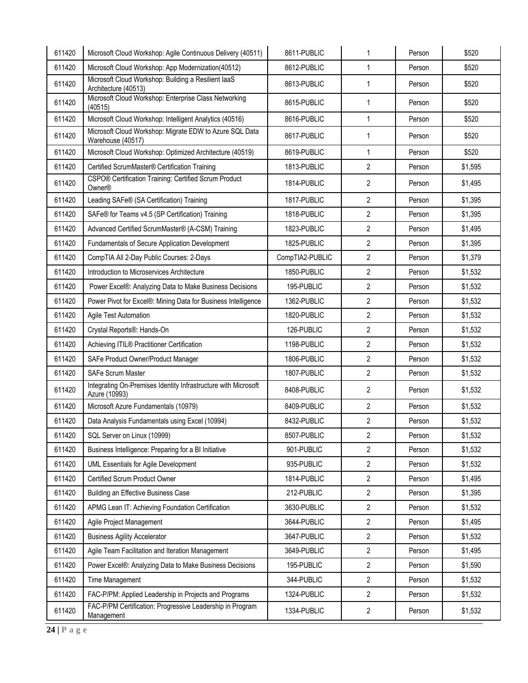| 611420 | Microsoft Cloud Workshop: Agile Continuous Delivery (40511)                     | 8611-PUBLIC     | $\mathbf{1}$   | Person | \$520   |
|--------|---------------------------------------------------------------------------------|-----------------|----------------|--------|---------|
| 611420 | Microsoft Cloud Workshop: App Modernization(40512)                              | 8612-PUBLIC     | $\mathbf{1}$   | Person | \$520   |
| 611420 | Microsoft Cloud Workshop: Building a Resilient laaS<br>Architecture (40513)     | 8613-PUBLIC     | $\mathbf{1}$   | Person | \$520   |
| 611420 | Microsoft Cloud Workshop: Enterprise Class Networking<br>(40515)                | 8615-PUBLIC     | $\mathbf{1}$   | Person | \$520   |
| 611420 | Microsoft Cloud Workshop: Intelligent Analytics (40516)                         | 8616-PUBLIC     | $\mathbf{1}$   | Person | \$520   |
| 611420 | Microsoft Cloud Workshop: Migrate EDW to Azure SQL Data<br>Warehouse (40517)    | 8617-PUBLIC     | $\mathbf{1}$   | Person | \$520   |
| 611420 | Microsoft Cloud Workshop: Optimized Architecture (40519)                        | 8619-PUBLIC     | $\mathbf{1}$   | Person | \$520   |
| 611420 | Certified ScrumMaster® Certification Training                                   | 1813-PUBLIC     | $\overline{2}$ | Person | \$1,595 |
| 611420 | CSPO® Certification Training: Certified Scrum Product<br>Owner®                 | 1814-PUBLIC     | $\overline{2}$ | Person | \$1,495 |
| 611420 | Leading SAFe® (SA Certification) Training                                       | 1817-PUBLIC     | $\overline{2}$ | Person | \$1,395 |
| 611420 | SAFe® for Teams v4.5 (SP Certification) Training                                | 1818-PUBLIC     | $\overline{2}$ | Person | \$1,395 |
| 611420 | Advanced Certified ScrumMaster® (A-CSM) Training                                | 1823-PUBLIC     | $\overline{2}$ | Person | \$1,495 |
| 611420 | Fundamentals of Secure Application Development                                  | 1825-PUBLIC     | $\overline{2}$ | Person | \$1,395 |
| 611420 | CompTIA All 2-Day Public Courses: 2-Days                                        | CompTIA2-PUBLIC | $\overline{2}$ | Person | \$1,379 |
| 611420 | Introduction to Microservices Architecture                                      | 1850-PUBLIC     | $\overline{2}$ | Person | \$1,532 |
| 611420 | Power Excel®: Analyzing Data to Make Business Decisions                         | 195-PUBLIC      | $\overline{2}$ | Person | \$1,532 |
| 611420 | Power Pivot for Excel®: Mining Data for Business Intelligence                   | 1362-PUBLIC     | $\overline{2}$ | Person | \$1,532 |
| 611420 | Agile Test Automation                                                           | 1820-PUBLIC     | $\overline{2}$ | Person | \$1,532 |
| 611420 | Crystal Reports®: Hands-On                                                      | 126-PUBLIC      | $\overline{2}$ | Person | \$1,532 |
| 611420 | Achieving ITIL® Practitioner Certification                                      | 1198-PUBLIC     | $\overline{2}$ | Person | \$1,532 |
| 611420 | SAFe Product Owner/Product Manager                                              | 1806-PUBLIC     | $\overline{2}$ | Person | \$1,532 |
| 611420 | <b>SAFe Scrum Master</b>                                                        | 1807-PUBLIC     | $\overline{2}$ | Person | \$1,532 |
| 611420 | Integrating On-Premises Identity Infrastructure with Microsoft<br>Azure (10993) | 8408-PUBLIC     | $\overline{2}$ | Person | \$1,532 |
| 611420 | Microsoft Azure Fundamentals (10979)                                            | 8409-PUBLIC     | $\overline{2}$ | Person | \$1,532 |
| 611420 | Data Analysis Fundamentals using Excel (10994)                                  | 8432-PUBLIC     | $\overline{2}$ | Person | \$1,532 |
| 611420 | SQL Server on Linux (10999)                                                     | 8507-PUBLIC     | 2              | Person | \$1,532 |
| 611420 | Business Intelligence: Preparing for a BI Initiative                            | 901-PUBLIC      | $\overline{2}$ | Person | \$1,532 |
| 611420 | UML Essentials for Agile Development                                            | 935-PUBLIC      | $\overline{2}$ | Person | \$1,532 |
| 611420 | Certified Scrum Product Owner                                                   | 1814-PUBLIC     | $\overline{2}$ | Person | \$1,495 |
| 611420 | Building an Effective Business Case                                             | 212-PUBLIC      | $\overline{2}$ | Person | \$1,395 |
| 611420 | APMG Lean IT: Achieving Foundation Certification                                | 3630-PUBLIC     | $\overline{2}$ | Person | \$1,532 |
| 611420 | Agile Project Management                                                        | 3644-PUBLIC     | $\overline{2}$ | Person | \$1,495 |
| 611420 | <b>Business Agility Accelerator</b>                                             | 3647-PUBLIC     | $\overline{2}$ | Person | \$1,532 |
| 611420 | Agile Team Facilitation and Iteration Management                                | 3649-PUBLIC     | $\overline{2}$ | Person | \$1,495 |
| 611420 | Power Excel®: Analyzing Data to Make Business Decisions                         | 195-PUBLIC      | $\overline{2}$ | Person | \$1,590 |
| 611420 | Time Management                                                                 | 344-PUBLIC      | $\overline{2}$ | Person | \$1,532 |
| 611420 | FAC-P/PM: Applied Leadership in Projects and Programs                           | 1324-PUBLIC     | $\overline{2}$ | Person | \$1,532 |
| 611420 | FAC-P/PM Certification: Progressive Leadership in Program<br>Management         | 1334-PUBLIC     | $\overline{c}$ | Person | \$1,532 |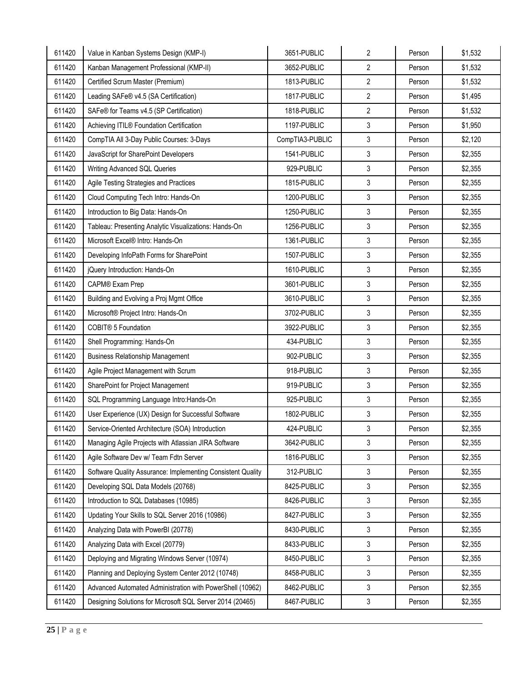| 611420 | Value in Kanban Systems Design (KMP-I)                      | 3651-PUBLIC     | $\overline{2}$ | Person | \$1,532 |
|--------|-------------------------------------------------------------|-----------------|----------------|--------|---------|
| 611420 | Kanban Management Professional (KMP-II)                     | 3652-PUBLIC     | $\overline{2}$ | Person | \$1,532 |
| 611420 | Certified Scrum Master (Premium)                            | 1813-PUBLIC     | 2              | Person | \$1,532 |
| 611420 | Leading SAFe® v4.5 (SA Certification)                       | 1817-PUBLIC     | $\overline{2}$ | Person | \$1,495 |
| 611420 | SAFe® for Teams v4.5 (SP Certification)                     | 1818-PUBLIC     | $\overline{2}$ | Person | \$1,532 |
| 611420 | Achieving ITIL® Foundation Certification                    | 1197-PUBLIC     | 3              | Person | \$1,950 |
| 611420 | CompTIA All 3-Day Public Courses: 3-Days                    | CompTIA3-PUBLIC | 3              | Person | \$2,120 |
| 611420 | JavaScript for SharePoint Developers                        | 1541-PUBLIC     | 3              | Person | \$2,355 |
| 611420 | Writing Advanced SQL Queries                                | 929-PUBLIC      | 3              | Person | \$2,355 |
| 611420 | Agile Testing Strategies and Practices                      | 1815-PUBLIC     | 3              | Person | \$2,355 |
| 611420 | Cloud Computing Tech Intro: Hands-On                        | 1200-PUBLIC     | 3              | Person | \$2,355 |
| 611420 | Introduction to Big Data: Hands-On                          | 1250-PUBLIC     | 3              | Person | \$2,355 |
| 611420 | Tableau: Presenting Analytic Visualizations: Hands-On       | 1256-PUBLIC     | 3              | Person | \$2,355 |
| 611420 | Microsoft Excel® Intro: Hands-On                            | 1361-PUBLIC     | 3              | Person | \$2,355 |
| 611420 | Developing InfoPath Forms for SharePoint                    | 1507-PUBLIC     | 3              | Person | \$2,355 |
| 611420 | jQuery Introduction: Hands-On                               | 1610-PUBLIC     | 3              | Person | \$2,355 |
| 611420 | CAPM® Exam Prep                                             | 3601-PUBLIC     | 3              | Person | \$2,355 |
| 611420 | Building and Evolving a Proj Mgmt Office                    | 3610-PUBLIC     | 3              | Person | \$2,355 |
| 611420 | Microsoft® Project Intro: Hands-On                          | 3702-PUBLIC     | 3              | Person | \$2,355 |
| 611420 | COBIT® 5 Foundation                                         | 3922-PUBLIC     | 3              | Person | \$2,355 |
| 611420 | Shell Programming: Hands-On                                 | 434-PUBLIC      | 3              | Person | \$2,355 |
| 611420 | <b>Business Relationship Management</b>                     | 902-PUBLIC      | 3              | Person | \$2,355 |
| 611420 | Agile Project Management with Scrum                         | 918-PUBLIC      | 3              | Person | \$2,355 |
| 611420 | SharePoint for Project Management                           | 919-PUBLIC      | 3              | Person | \$2,355 |
| 611420 | SQL Programming Language Intro: Hands-On                    | 925-PUBLIC      | 3              | Person | \$2,355 |
| 611420 | User Experience (UX) Design for Successful Software         | 1802-PUBLIC     | 3              | Person | \$2,355 |
| 611420 | Service-Oriented Architecture (SOA) Introduction            | 424-PUBLIC      | 3              | Person | \$2,355 |
| 611420 | Managing Agile Projects with Atlassian JIRA Software        | 3642-PUBLIC     | 3              | Person | \$2,355 |
| 611420 | Agile Software Dev w/ Team Fdtn Server                      | 1816-PUBLIC     | 3              | Person | \$2,355 |
| 611420 | Software Quality Assurance: Implementing Consistent Quality | 312-PUBLIC      | 3              | Person | \$2,355 |
| 611420 | Developing SQL Data Models (20768)                          | 8425-PUBLIC     | 3              | Person | \$2,355 |
| 611420 | Introduction to SQL Databases (10985)                       | 8426-PUBLIC     | 3              | Person | \$2,355 |
| 611420 | Updating Your Skills to SQL Server 2016 (10986)             | 8427-PUBLIC     | 3              | Person | \$2,355 |
| 611420 | Analyzing Data with PowerBI (20778)                         | 8430-PUBLIC     | 3              | Person | \$2,355 |
| 611420 | Analyzing Data with Excel (20779)                           | 8433-PUBLIC     | 3              | Person | \$2,355 |
| 611420 | Deploying and Migrating Windows Server (10974)              | 8450-PUBLIC     | 3              | Person | \$2,355 |
| 611420 | Planning and Deploying System Center 2012 (10748)           | 8458-PUBLIC     | 3              | Person | \$2,355 |
| 611420 | Advanced Automated Administration with PowerShell (10962)   | 8462-PUBLIC     | 3              | Person | \$2,355 |
| 611420 | Designing Solutions for Microsoft SQL Server 2014 (20465)   | 8467-PUBLIC     | 3              | Person | \$2,355 |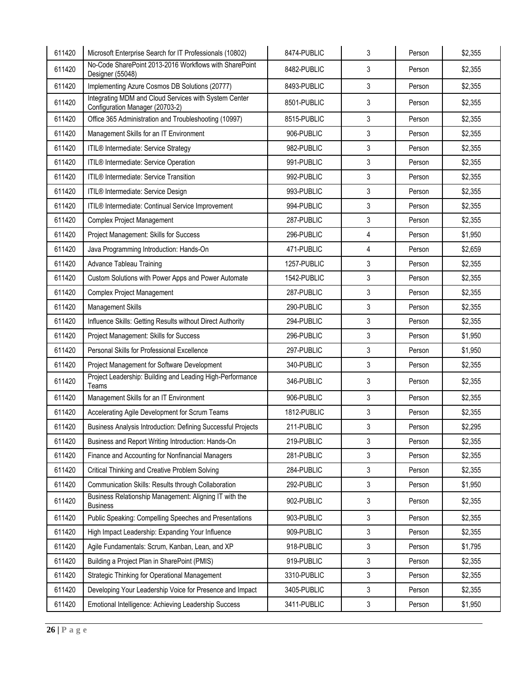| 611420 | Microsoft Enterprise Search for IT Professionals (10802)                                 | 8474-PUBLIC | 3 | Person | \$2,355 |
|--------|------------------------------------------------------------------------------------------|-------------|---|--------|---------|
| 611420 | No-Code SharePoint 2013-2016 Workflows with SharePoint<br>Designer (55048)               | 8482-PUBLIC | 3 | Person | \$2,355 |
| 611420 | Implementing Azure Cosmos DB Solutions (20777)                                           | 8493-PUBLIC | 3 | Person | \$2,355 |
| 611420 | Integrating MDM and Cloud Services with System Center<br>Configuration Manager (20703-2) | 8501-PUBLIC | 3 | Person | \$2,355 |
| 611420 | Office 365 Administration and Troubleshooting (10997)                                    | 8515-PUBLIC | 3 | Person | \$2,355 |
| 611420 | Management Skills for an IT Environment                                                  | 906-PUBLIC  | 3 | Person | \$2,355 |
| 611420 | ITIL® Intermediate: Service Strategy                                                     | 982-PUBLIC  | 3 | Person | \$2,355 |
| 611420 | ITIL® Intermediate: Service Operation                                                    | 991-PUBLIC  | 3 | Person | \$2,355 |
| 611420 | <b>ITIL<sup>®</sup></b> Intermediate: Service Transition                                 | 992-PUBLIC  | 3 | Person | \$2,355 |
| 611420 | ITIL® Intermediate: Service Design                                                       | 993-PUBLIC  | 3 | Person | \$2,355 |
| 611420 | ITIL® Intermediate: Continual Service Improvement                                        | 994-PUBLIC  | 3 | Person | \$2,355 |
| 611420 | <b>Complex Project Management</b>                                                        | 287-PUBLIC  | 3 | Person | \$2,355 |
| 611420 | Project Management: Skills for Success                                                   | 296-PUBLIC  | 4 | Person | \$1,950 |
| 611420 | Java Programming Introduction: Hands-On                                                  | 471-PUBLIC  | 4 | Person | \$2,659 |
| 611420 | <b>Advance Tableau Training</b>                                                          | 1257-PUBLIC | 3 | Person | \$2,355 |
| 611420 | Custom Solutions with Power Apps and Power Automate                                      | 1542-PUBLIC | 3 | Person | \$2,355 |
| 611420 | <b>Complex Project Management</b>                                                        | 287-PUBLIC  | 3 | Person | \$2,355 |
| 611420 | Management Skills                                                                        | 290-PUBLIC  | 3 | Person | \$2,355 |
| 611420 | Influence Skills: Getting Results without Direct Authority                               | 294-PUBLIC  | 3 | Person | \$2,355 |
| 611420 | Project Management: Skills for Success                                                   | 296-PUBLIC  | 3 | Person | \$1,950 |
| 611420 | Personal Skills for Professional Excellence                                              | 297-PUBLIC  | 3 | Person | \$1,950 |
| 611420 | Project Management for Software Development                                              | 340-PUBLIC  | 3 | Person | \$2,355 |
| 611420 | Project Leadership: Building and Leading High-Performance<br>Teams                       | 346-PUBLIC  | 3 | Person | \$2,355 |
| 611420 | Management Skills for an IT Environment                                                  | 906-PUBLIC  | 3 | Person | \$2,355 |
| 611420 | Accelerating Agile Development for Scrum Teams                                           | 1812-PUBLIC | 3 | Person | \$2,355 |
| 611420 | Business Analysis Introduction: Defining Successful Projects                             | 211-PUBLIC  | 3 | Person | \$2,295 |
| 611420 | Business and Report Writing Introduction: Hands-On                                       | 219-PUBLIC  | 3 | Person | \$2,355 |
| 611420 | Finance and Accounting for Nonfinancial Managers                                         | 281-PUBLIC  | 3 | Person | \$2,355 |
| 611420 | Critical Thinking and Creative Problem Solving                                           | 284-PUBLIC  | 3 | Person | \$2,355 |
| 611420 | Communication Skills: Results through Collaboration                                      | 292-PUBLIC  | 3 | Person | \$1,950 |
| 611420 | Business Relationship Management: Aligning IT with the<br><b>Business</b>                | 902-PUBLIC  | 3 | Person | \$2,355 |
| 611420 | Public Speaking: Compelling Speeches and Presentations                                   | 903-PUBLIC  | 3 | Person | \$2,355 |
| 611420 | High Impact Leadership: Expanding Your Influence                                         | 909-PUBLIC  | 3 | Person | \$2,355 |
| 611420 | Agile Fundamentals: Scrum, Kanban, Lean, and XP                                          | 918-PUBLIC  | 3 | Person | \$1,795 |
| 611420 | Building a Project Plan in SharePoint (PMIS)                                             | 919-PUBLIC  | 3 | Person | \$2,355 |
| 611420 | Strategic Thinking for Operational Management                                            | 3310-PUBLIC | 3 | Person | \$2,355 |
| 611420 | Developing Your Leadership Voice for Presence and Impact                                 | 3405-PUBLIC | 3 | Person | \$2,355 |
| 611420 | Emotional Intelligence: Achieving Leadership Success                                     | 3411-PUBLIC | 3 | Person | \$1,950 |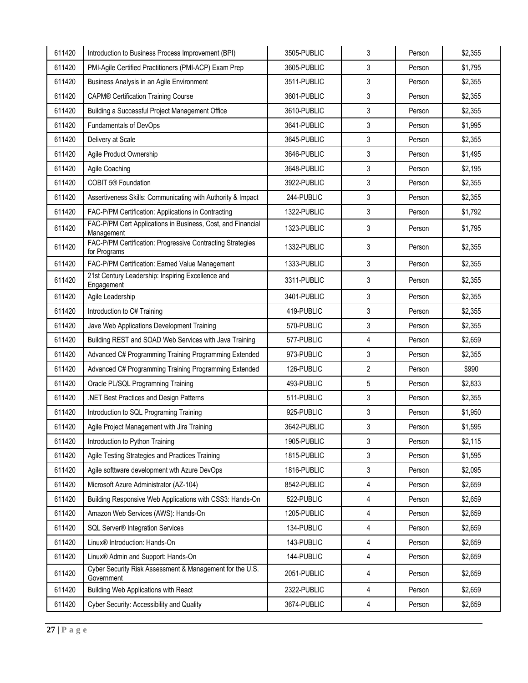| 611420 | Introduction to Business Process Improvement (BPI)                         | 3505-PUBLIC | 3              | Person | \$2,355 |
|--------|----------------------------------------------------------------------------|-------------|----------------|--------|---------|
| 611420 | PMI-Agile Certified Practitioners (PMI-ACP) Exam Prep                      | 3605-PUBLIC | 3              | Person | \$1,795 |
| 611420 | Business Analysis in an Agile Environment                                  | 3511-PUBLIC | 3              | Person | \$2,355 |
| 611420 | <b>CAPM® Certification Training Course</b>                                 | 3601-PUBLIC | 3              | Person | \$2,355 |
| 611420 | Building a Successful Project Management Office                            | 3610-PUBLIC | 3              | Person | \$2,355 |
| 611420 | Fundamentals of DevOps                                                     | 3641-PUBLIC | 3              | Person | \$1,995 |
| 611420 | Delivery at Scale                                                          | 3645-PUBLIC | 3              | Person | \$2,355 |
| 611420 | Agile Product Ownership                                                    | 3646-PUBLIC | 3              | Person | \$1,495 |
| 611420 | Agile Coaching                                                             | 3648-PUBLIC | 3              | Person | \$2,195 |
| 611420 | <b>COBIT 5® Foundation</b>                                                 | 3922-PUBLIC | 3              | Person | \$2,355 |
| 611420 | Assertiveness Skills: Communicating with Authority & Impact                | 244-PUBLIC  | 3              | Person | \$2,355 |
| 611420 | FAC-P/PM Certification: Applications in Contracting                        | 1322-PUBLIC | 3              | Person | \$1,792 |
| 611420 | FAC-P/PM Cert Applications in Business, Cost, and Financial<br>Management  | 1323-PUBLIC | 3              | Person | \$1,795 |
| 611420 | FAC-P/PM Certification: Progressive Contracting Strategies<br>for Programs | 1332-PUBLIC | 3              | Person | \$2,355 |
| 611420 | FAC-P/PM Certification: Earned Value Management                            | 1333-PUBLIC | 3              | Person | \$2,355 |
| 611420 | 21st Century Leadership: Inspiring Excellence and<br>Engagement            | 3311-PUBLIC | 3              | Person | \$2,355 |
| 611420 | Agile Leadership                                                           | 3401-PUBLIC | 3              | Person | \$2,355 |
| 611420 | Introduction to C# Training                                                | 419-PUBLIC  | 3              | Person | \$2,355 |
| 611420 | Jave Web Applications Development Training                                 | 570-PUBLIC  | 3              | Person | \$2,355 |
| 611420 | Building REST and SOAD Web Services with Java Training                     | 577-PUBLIC  | 4              | Person | \$2,659 |
| 611420 | Advanced C# Programming Training Programming Extended                      | 973-PUBLIC  | 3              | Person | \$2,355 |
| 611420 | Advanced C# Programming Training Programming Extended                      | 126-PUBLIC  | $\mathbf{2}$   | Person | \$990   |
| 611420 | Oracle PL/SQL Programning Training                                         | 493-PUBLIC  | $\overline{5}$ | Person | \$2,833 |
| 611420 | .NET Best Practices and Design Patterns                                    | 511-PUBLIC  | 3              | Person | \$2,355 |
| 611420 | Introduction to SQL Programing Training                                    | 925-PUBLIC  | 3              | Person | \$1,950 |
| 611420 | Agile Project Management with Jira Training                                | 3642-PUBLIC | 3              | Person | \$1,595 |
| 611420 | Introduction to Python Training                                            | 1905-PUBLIC | 3              | Person | \$2,115 |
| 611420 | Agile Testing Strategies and Practices Training                            | 1815-PUBLIC | 3              | Person | \$1,595 |
| 611420 | Agile softtware development wth Azure DevOps                               | 1816-PUBLIC | 3              | Person | \$2,095 |
| 611420 | Microsoft Azure Administrator (AZ-104)                                     | 8542-PUBLIC | 4              | Person | \$2,659 |
| 611420 | Building Responsive Web Applications with CSS3: Hands-On                   | 522-PUBLIC  | $\overline{4}$ | Person | \$2,659 |
| 611420 | Amazon Web Services (AWS): Hands-On                                        | 1205-PUBLIC | 4              | Person | \$2,659 |
| 611420 | <b>SQL Server<sup>®</sup></b> Integration Services                         | 134-PUBLIC  | 4              | Person | \$2,659 |
| 611420 | Linux® Introduction: Hands-On                                              | 143-PUBLIC  | 4              | Person | \$2,659 |
| 611420 | Linux <sup>®</sup> Admin and Support: Hands-On                             | 144-PUBLIC  | $\overline{4}$ | Person | \$2,659 |
| 611420 | Cyber Security Risk Assessment & Management for the U.S.<br>Government     | 2051-PUBLIC | 4              | Person | \$2,659 |
| 611420 | Building Web Applications with React                                       | 2322-PUBLIC | 4              | Person | \$2,659 |
| 611420 | Cyber Security: Accessibility and Quality                                  | 3674-PUBLIC | 4              | Person | \$2,659 |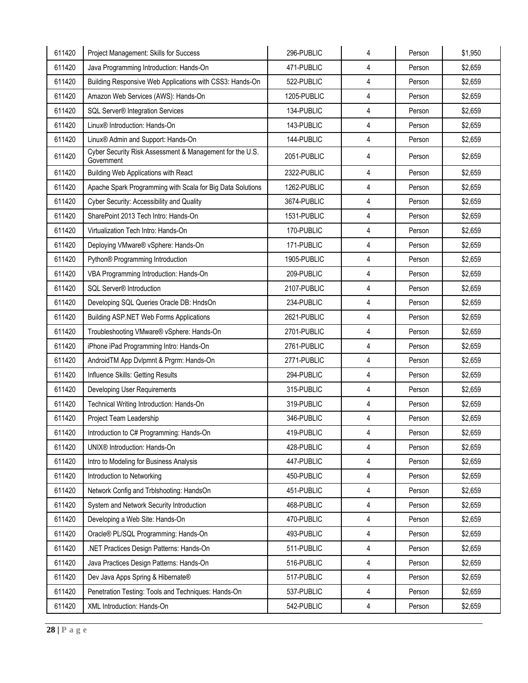| 4<br>611420<br>471-PUBLIC<br>\$2,659<br>Java Programming Introduction: Hands-On<br>Person<br>4<br>611420<br>Building Responsive Web Applications with CSS3: Hands-On<br>522-PUBLIC<br>Person<br>\$2,659<br>4<br>611420<br>1205-PUBLIC<br>\$2,659<br>Amazon Web Services (AWS): Hands-On<br>Person<br>$\overline{4}$<br>611420<br>SQL Server® Integration Services<br>134-PUBLIC<br>\$2,659<br>Person<br>4<br>611420<br>Linux <sup>®</sup> Introduction: Hands-On<br>143-PUBLIC<br>Person<br>\$2,659<br>4<br>611420<br>Linux <sup>®</sup> Admin and Support: Hands-On<br>144-PUBLIC<br>Person<br>\$2,659<br>Cyber Security Risk Assessment & Management for the U.S.<br>611420<br>4<br>2051-PUBLIC<br>\$2,659<br>Person<br>Government<br>$\overline{4}$<br>611420<br><b>Building Web Applications with React</b><br>2322-PUBLIC<br>Person<br>\$2,659<br>611420<br>1262-PUBLIC<br>4<br>Apache Spark Programming with Scala for Big Data Solutions<br>\$2,659<br>Person<br>611420<br>3674-PUBLIC<br>4<br>Cyber Security: Accessibility and Quality<br>\$2,659<br>Person<br>4<br>611420<br>SharePoint 2013 Tech Intro: Hands-On<br>1531-PUBLIC<br>Person<br>\$2,659<br>611420<br>170-PUBLIC<br>4<br>\$2,659<br>Virtualization Tech Intro: Hands-On<br>Person<br>4<br>611420<br>171-PUBLIC<br>\$2,659<br>Deploying VMware® vSphere: Hands-On<br>Person<br>611420<br>1905-PUBLIC<br>4<br>Python® Programming Introduction<br>Person<br>\$2,659<br>4<br>209-PUBLIC<br>611420<br>VBA Programming Introduction: Hands-On<br>Person<br>\$2,659<br>611420<br>SQL Server® Introduction<br>2107-PUBLIC<br>4<br>Person<br>\$2,659<br>4<br>611420<br>234-PUBLIC<br>\$2,659<br>Developing SQL Queries Oracle DB: HndsOn<br>Person<br>4<br>611420<br>2621-PUBLIC<br><b>Building ASP.NET Web Forms Applications</b><br>Person<br>\$2,659<br>4<br>611420<br>Troubleshooting VMware® vSphere: Hands-On<br>2701-PUBLIC<br>\$2,659<br>Person<br>$\overline{4}$<br>611420<br>iPhone iPad Programming Intro: Hands-On<br>2761-PUBLIC<br>\$2,659<br>Person<br>611420<br>2771-PUBLIC<br>4<br>AndroidTM App Dvlpmnt & Prgrm: Hands-On<br>Person<br>\$2,659<br>294-PUBLIC<br>4<br>611420<br>Influence Skills: Getting Results<br>Person<br>\$2,659<br>4<br>611420<br>315-PUBLIC<br>Developing User Requirements<br>Person<br>\$2,659<br>4<br>611420<br>Technical Writing Introduction: Hands-On<br>319-PUBLIC<br>\$2,659<br>Person<br>4<br>611420<br>346-PUBLIC<br>Project Team Leadership<br>Person<br>\$2,659<br>611420<br>Introduction to C# Programming: Hands-On<br>\$2,659<br>419-PUBLIC<br>4<br>Person<br>4<br>611420<br>UNIX® Introduction: Hands-On<br>428-PUBLIC<br>\$2,659<br>Person<br>611420<br>447-PUBLIC<br>4<br>\$2,659<br>Intro to Modeling for Business Analysis<br>Person<br>611420<br>450-PUBLIC<br>4<br>Introduction to Networking<br>\$2,659<br>Person<br>4<br>611420<br>Network Config and Trblshooting: HandsOn<br>451-PUBLIC<br>Person<br>\$2,659<br>$\overline{4}$<br>611420<br>System and Network Security Introduction<br>468-PUBLIC<br>\$2,659<br>Person<br>4<br>611420<br>Developing a Web Site: Hands-On<br>470-PUBLIC<br>\$2,659<br>Person<br>611420<br>Oracle® PL/SQL Programming: Hands-On<br>493-PUBLIC<br>4<br>\$2,659<br>Person<br>611420<br>.NET Practices Design Patterns: Hands-On<br>511-PUBLIC<br>4<br>\$2,659<br>Person<br>4<br>611420<br>Java Practices Design Patterns: Hands-On<br>516-PUBLIC<br>\$2,659<br>Person<br>611420<br>Dev Java Apps Spring & Hibernate®<br>517-PUBLIC<br>4<br>Person<br>\$2,659<br>4<br>611420<br>537-PUBLIC<br>\$2,659<br>Penetration Testing: Tools and Techniques: Hands-On<br>Person<br>611420<br>XML Introduction: Hands-On<br>542-PUBLIC<br>4<br>\$2,659<br>Person | 611420 | Project Management: Skills for Success | 296-PUBLIC | 4 | Person | \$1,950 |
|----------------------------------------------------------------------------------------------------------------------------------------------------------------------------------------------------------------------------------------------------------------------------------------------------------------------------------------------------------------------------------------------------------------------------------------------------------------------------------------------------------------------------------------------------------------------------------------------------------------------------------------------------------------------------------------------------------------------------------------------------------------------------------------------------------------------------------------------------------------------------------------------------------------------------------------------------------------------------------------------------------------------------------------------------------------------------------------------------------------------------------------------------------------------------------------------------------------------------------------------------------------------------------------------------------------------------------------------------------------------------------------------------------------------------------------------------------------------------------------------------------------------------------------------------------------------------------------------------------------------------------------------------------------------------------------------------------------------------------------------------------------------------------------------------------------------------------------------------------------------------------------------------------------------------------------------------------------------------------------------------------------------------------------------------------------------------------------------------------------------------------------------------------------------------------------------------------------------------------------------------------------------------------------------------------------------------------------------------------------------------------------------------------------------------------------------------------------------------------------------------------------------------------------------------------------------------------------------------------------------------------------------------------------------------------------------------------------------------------------------------------------------------------------------------------------------------------------------------------------------------------------------------------------------------------------------------------------------------------------------------------------------------------------------------------------------------------------------------------------------------------------------------------------------------------------------------------------------------------------------------------------------------------------------------------------------------------------------------------------------------------------------------------------------------------------------------------------------------------------------------------------------------------------------------------------------------------------------------------------------------------------------------------------------------------------------------------------------|--------|----------------------------------------|------------|---|--------|---------|
|                                                                                                                                                                                                                                                                                                                                                                                                                                                                                                                                                                                                                                                                                                                                                                                                                                                                                                                                                                                                                                                                                                                                                                                                                                                                                                                                                                                                                                                                                                                                                                                                                                                                                                                                                                                                                                                                                                                                                                                                                                                                                                                                                                                                                                                                                                                                                                                                                                                                                                                                                                                                                                                                                                                                                                                                                                                                                                                                                                                                                                                                                                                                                                                                                                                                                                                                                                                                                                                                                                                                                                                                                                                                                                                      |        |                                        |            |   |        |         |
|                                                                                                                                                                                                                                                                                                                                                                                                                                                                                                                                                                                                                                                                                                                                                                                                                                                                                                                                                                                                                                                                                                                                                                                                                                                                                                                                                                                                                                                                                                                                                                                                                                                                                                                                                                                                                                                                                                                                                                                                                                                                                                                                                                                                                                                                                                                                                                                                                                                                                                                                                                                                                                                                                                                                                                                                                                                                                                                                                                                                                                                                                                                                                                                                                                                                                                                                                                                                                                                                                                                                                                                                                                                                                                                      |        |                                        |            |   |        |         |
|                                                                                                                                                                                                                                                                                                                                                                                                                                                                                                                                                                                                                                                                                                                                                                                                                                                                                                                                                                                                                                                                                                                                                                                                                                                                                                                                                                                                                                                                                                                                                                                                                                                                                                                                                                                                                                                                                                                                                                                                                                                                                                                                                                                                                                                                                                                                                                                                                                                                                                                                                                                                                                                                                                                                                                                                                                                                                                                                                                                                                                                                                                                                                                                                                                                                                                                                                                                                                                                                                                                                                                                                                                                                                                                      |        |                                        |            |   |        |         |
|                                                                                                                                                                                                                                                                                                                                                                                                                                                                                                                                                                                                                                                                                                                                                                                                                                                                                                                                                                                                                                                                                                                                                                                                                                                                                                                                                                                                                                                                                                                                                                                                                                                                                                                                                                                                                                                                                                                                                                                                                                                                                                                                                                                                                                                                                                                                                                                                                                                                                                                                                                                                                                                                                                                                                                                                                                                                                                                                                                                                                                                                                                                                                                                                                                                                                                                                                                                                                                                                                                                                                                                                                                                                                                                      |        |                                        |            |   |        |         |
|                                                                                                                                                                                                                                                                                                                                                                                                                                                                                                                                                                                                                                                                                                                                                                                                                                                                                                                                                                                                                                                                                                                                                                                                                                                                                                                                                                                                                                                                                                                                                                                                                                                                                                                                                                                                                                                                                                                                                                                                                                                                                                                                                                                                                                                                                                                                                                                                                                                                                                                                                                                                                                                                                                                                                                                                                                                                                                                                                                                                                                                                                                                                                                                                                                                                                                                                                                                                                                                                                                                                                                                                                                                                                                                      |        |                                        |            |   |        |         |
|                                                                                                                                                                                                                                                                                                                                                                                                                                                                                                                                                                                                                                                                                                                                                                                                                                                                                                                                                                                                                                                                                                                                                                                                                                                                                                                                                                                                                                                                                                                                                                                                                                                                                                                                                                                                                                                                                                                                                                                                                                                                                                                                                                                                                                                                                                                                                                                                                                                                                                                                                                                                                                                                                                                                                                                                                                                                                                                                                                                                                                                                                                                                                                                                                                                                                                                                                                                                                                                                                                                                                                                                                                                                                                                      |        |                                        |            |   |        |         |
|                                                                                                                                                                                                                                                                                                                                                                                                                                                                                                                                                                                                                                                                                                                                                                                                                                                                                                                                                                                                                                                                                                                                                                                                                                                                                                                                                                                                                                                                                                                                                                                                                                                                                                                                                                                                                                                                                                                                                                                                                                                                                                                                                                                                                                                                                                                                                                                                                                                                                                                                                                                                                                                                                                                                                                                                                                                                                                                                                                                                                                                                                                                                                                                                                                                                                                                                                                                                                                                                                                                                                                                                                                                                                                                      |        |                                        |            |   |        |         |
|                                                                                                                                                                                                                                                                                                                                                                                                                                                                                                                                                                                                                                                                                                                                                                                                                                                                                                                                                                                                                                                                                                                                                                                                                                                                                                                                                                                                                                                                                                                                                                                                                                                                                                                                                                                                                                                                                                                                                                                                                                                                                                                                                                                                                                                                                                                                                                                                                                                                                                                                                                                                                                                                                                                                                                                                                                                                                                                                                                                                                                                                                                                                                                                                                                                                                                                                                                                                                                                                                                                                                                                                                                                                                                                      |        |                                        |            |   |        |         |
|                                                                                                                                                                                                                                                                                                                                                                                                                                                                                                                                                                                                                                                                                                                                                                                                                                                                                                                                                                                                                                                                                                                                                                                                                                                                                                                                                                                                                                                                                                                                                                                                                                                                                                                                                                                                                                                                                                                                                                                                                                                                                                                                                                                                                                                                                                                                                                                                                                                                                                                                                                                                                                                                                                                                                                                                                                                                                                                                                                                                                                                                                                                                                                                                                                                                                                                                                                                                                                                                                                                                                                                                                                                                                                                      |        |                                        |            |   |        |         |
|                                                                                                                                                                                                                                                                                                                                                                                                                                                                                                                                                                                                                                                                                                                                                                                                                                                                                                                                                                                                                                                                                                                                                                                                                                                                                                                                                                                                                                                                                                                                                                                                                                                                                                                                                                                                                                                                                                                                                                                                                                                                                                                                                                                                                                                                                                                                                                                                                                                                                                                                                                                                                                                                                                                                                                                                                                                                                                                                                                                                                                                                                                                                                                                                                                                                                                                                                                                                                                                                                                                                                                                                                                                                                                                      |        |                                        |            |   |        |         |
|                                                                                                                                                                                                                                                                                                                                                                                                                                                                                                                                                                                                                                                                                                                                                                                                                                                                                                                                                                                                                                                                                                                                                                                                                                                                                                                                                                                                                                                                                                                                                                                                                                                                                                                                                                                                                                                                                                                                                                                                                                                                                                                                                                                                                                                                                                                                                                                                                                                                                                                                                                                                                                                                                                                                                                                                                                                                                                                                                                                                                                                                                                                                                                                                                                                                                                                                                                                                                                                                                                                                                                                                                                                                                                                      |        |                                        |            |   |        |         |
|                                                                                                                                                                                                                                                                                                                                                                                                                                                                                                                                                                                                                                                                                                                                                                                                                                                                                                                                                                                                                                                                                                                                                                                                                                                                                                                                                                                                                                                                                                                                                                                                                                                                                                                                                                                                                                                                                                                                                                                                                                                                                                                                                                                                                                                                                                                                                                                                                                                                                                                                                                                                                                                                                                                                                                                                                                                                                                                                                                                                                                                                                                                                                                                                                                                                                                                                                                                                                                                                                                                                                                                                                                                                                                                      |        |                                        |            |   |        |         |
|                                                                                                                                                                                                                                                                                                                                                                                                                                                                                                                                                                                                                                                                                                                                                                                                                                                                                                                                                                                                                                                                                                                                                                                                                                                                                                                                                                                                                                                                                                                                                                                                                                                                                                                                                                                                                                                                                                                                                                                                                                                                                                                                                                                                                                                                                                                                                                                                                                                                                                                                                                                                                                                                                                                                                                                                                                                                                                                                                                                                                                                                                                                                                                                                                                                                                                                                                                                                                                                                                                                                                                                                                                                                                                                      |        |                                        |            |   |        |         |
|                                                                                                                                                                                                                                                                                                                                                                                                                                                                                                                                                                                                                                                                                                                                                                                                                                                                                                                                                                                                                                                                                                                                                                                                                                                                                                                                                                                                                                                                                                                                                                                                                                                                                                                                                                                                                                                                                                                                                                                                                                                                                                                                                                                                                                                                                                                                                                                                                                                                                                                                                                                                                                                                                                                                                                                                                                                                                                                                                                                                                                                                                                                                                                                                                                                                                                                                                                                                                                                                                                                                                                                                                                                                                                                      |        |                                        |            |   |        |         |
|                                                                                                                                                                                                                                                                                                                                                                                                                                                                                                                                                                                                                                                                                                                                                                                                                                                                                                                                                                                                                                                                                                                                                                                                                                                                                                                                                                                                                                                                                                                                                                                                                                                                                                                                                                                                                                                                                                                                                                                                                                                                                                                                                                                                                                                                                                                                                                                                                                                                                                                                                                                                                                                                                                                                                                                                                                                                                                                                                                                                                                                                                                                                                                                                                                                                                                                                                                                                                                                                                                                                                                                                                                                                                                                      |        |                                        |            |   |        |         |
|                                                                                                                                                                                                                                                                                                                                                                                                                                                                                                                                                                                                                                                                                                                                                                                                                                                                                                                                                                                                                                                                                                                                                                                                                                                                                                                                                                                                                                                                                                                                                                                                                                                                                                                                                                                                                                                                                                                                                                                                                                                                                                                                                                                                                                                                                                                                                                                                                                                                                                                                                                                                                                                                                                                                                                                                                                                                                                                                                                                                                                                                                                                                                                                                                                                                                                                                                                                                                                                                                                                                                                                                                                                                                                                      |        |                                        |            |   |        |         |
|                                                                                                                                                                                                                                                                                                                                                                                                                                                                                                                                                                                                                                                                                                                                                                                                                                                                                                                                                                                                                                                                                                                                                                                                                                                                                                                                                                                                                                                                                                                                                                                                                                                                                                                                                                                                                                                                                                                                                                                                                                                                                                                                                                                                                                                                                                                                                                                                                                                                                                                                                                                                                                                                                                                                                                                                                                                                                                                                                                                                                                                                                                                                                                                                                                                                                                                                                                                                                                                                                                                                                                                                                                                                                                                      |        |                                        |            |   |        |         |
|                                                                                                                                                                                                                                                                                                                                                                                                                                                                                                                                                                                                                                                                                                                                                                                                                                                                                                                                                                                                                                                                                                                                                                                                                                                                                                                                                                                                                                                                                                                                                                                                                                                                                                                                                                                                                                                                                                                                                                                                                                                                                                                                                                                                                                                                                                                                                                                                                                                                                                                                                                                                                                                                                                                                                                                                                                                                                                                                                                                                                                                                                                                                                                                                                                                                                                                                                                                                                                                                                                                                                                                                                                                                                                                      |        |                                        |            |   |        |         |
|                                                                                                                                                                                                                                                                                                                                                                                                                                                                                                                                                                                                                                                                                                                                                                                                                                                                                                                                                                                                                                                                                                                                                                                                                                                                                                                                                                                                                                                                                                                                                                                                                                                                                                                                                                                                                                                                                                                                                                                                                                                                                                                                                                                                                                                                                                                                                                                                                                                                                                                                                                                                                                                                                                                                                                                                                                                                                                                                                                                                                                                                                                                                                                                                                                                                                                                                                                                                                                                                                                                                                                                                                                                                                                                      |        |                                        |            |   |        |         |
|                                                                                                                                                                                                                                                                                                                                                                                                                                                                                                                                                                                                                                                                                                                                                                                                                                                                                                                                                                                                                                                                                                                                                                                                                                                                                                                                                                                                                                                                                                                                                                                                                                                                                                                                                                                                                                                                                                                                                                                                                                                                                                                                                                                                                                                                                                                                                                                                                                                                                                                                                                                                                                                                                                                                                                                                                                                                                                                                                                                                                                                                                                                                                                                                                                                                                                                                                                                                                                                                                                                                                                                                                                                                                                                      |        |                                        |            |   |        |         |
|                                                                                                                                                                                                                                                                                                                                                                                                                                                                                                                                                                                                                                                                                                                                                                                                                                                                                                                                                                                                                                                                                                                                                                                                                                                                                                                                                                                                                                                                                                                                                                                                                                                                                                                                                                                                                                                                                                                                                                                                                                                                                                                                                                                                                                                                                                                                                                                                                                                                                                                                                                                                                                                                                                                                                                                                                                                                                                                                                                                                                                                                                                                                                                                                                                                                                                                                                                                                                                                                                                                                                                                                                                                                                                                      |        |                                        |            |   |        |         |
|                                                                                                                                                                                                                                                                                                                                                                                                                                                                                                                                                                                                                                                                                                                                                                                                                                                                                                                                                                                                                                                                                                                                                                                                                                                                                                                                                                                                                                                                                                                                                                                                                                                                                                                                                                                                                                                                                                                                                                                                                                                                                                                                                                                                                                                                                                                                                                                                                                                                                                                                                                                                                                                                                                                                                                                                                                                                                                                                                                                                                                                                                                                                                                                                                                                                                                                                                                                                                                                                                                                                                                                                                                                                                                                      |        |                                        |            |   |        |         |
|                                                                                                                                                                                                                                                                                                                                                                                                                                                                                                                                                                                                                                                                                                                                                                                                                                                                                                                                                                                                                                                                                                                                                                                                                                                                                                                                                                                                                                                                                                                                                                                                                                                                                                                                                                                                                                                                                                                                                                                                                                                                                                                                                                                                                                                                                                                                                                                                                                                                                                                                                                                                                                                                                                                                                                                                                                                                                                                                                                                                                                                                                                                                                                                                                                                                                                                                                                                                                                                                                                                                                                                                                                                                                                                      |        |                                        |            |   |        |         |
|                                                                                                                                                                                                                                                                                                                                                                                                                                                                                                                                                                                                                                                                                                                                                                                                                                                                                                                                                                                                                                                                                                                                                                                                                                                                                                                                                                                                                                                                                                                                                                                                                                                                                                                                                                                                                                                                                                                                                                                                                                                                                                                                                                                                                                                                                                                                                                                                                                                                                                                                                                                                                                                                                                                                                                                                                                                                                                                                                                                                                                                                                                                                                                                                                                                                                                                                                                                                                                                                                                                                                                                                                                                                                                                      |        |                                        |            |   |        |         |
|                                                                                                                                                                                                                                                                                                                                                                                                                                                                                                                                                                                                                                                                                                                                                                                                                                                                                                                                                                                                                                                                                                                                                                                                                                                                                                                                                                                                                                                                                                                                                                                                                                                                                                                                                                                                                                                                                                                                                                                                                                                                                                                                                                                                                                                                                                                                                                                                                                                                                                                                                                                                                                                                                                                                                                                                                                                                                                                                                                                                                                                                                                                                                                                                                                                                                                                                                                                                                                                                                                                                                                                                                                                                                                                      |        |                                        |            |   |        |         |
|                                                                                                                                                                                                                                                                                                                                                                                                                                                                                                                                                                                                                                                                                                                                                                                                                                                                                                                                                                                                                                                                                                                                                                                                                                                                                                                                                                                                                                                                                                                                                                                                                                                                                                                                                                                                                                                                                                                                                                                                                                                                                                                                                                                                                                                                                                                                                                                                                                                                                                                                                                                                                                                                                                                                                                                                                                                                                                                                                                                                                                                                                                                                                                                                                                                                                                                                                                                                                                                                                                                                                                                                                                                                                                                      |        |                                        |            |   |        |         |
|                                                                                                                                                                                                                                                                                                                                                                                                                                                                                                                                                                                                                                                                                                                                                                                                                                                                                                                                                                                                                                                                                                                                                                                                                                                                                                                                                                                                                                                                                                                                                                                                                                                                                                                                                                                                                                                                                                                                                                                                                                                                                                                                                                                                                                                                                                                                                                                                                                                                                                                                                                                                                                                                                                                                                                                                                                                                                                                                                                                                                                                                                                                                                                                                                                                                                                                                                                                                                                                                                                                                                                                                                                                                                                                      |        |                                        |            |   |        |         |
|                                                                                                                                                                                                                                                                                                                                                                                                                                                                                                                                                                                                                                                                                                                                                                                                                                                                                                                                                                                                                                                                                                                                                                                                                                                                                                                                                                                                                                                                                                                                                                                                                                                                                                                                                                                                                                                                                                                                                                                                                                                                                                                                                                                                                                                                                                                                                                                                                                                                                                                                                                                                                                                                                                                                                                                                                                                                                                                                                                                                                                                                                                                                                                                                                                                                                                                                                                                                                                                                                                                                                                                                                                                                                                                      |        |                                        |            |   |        |         |
|                                                                                                                                                                                                                                                                                                                                                                                                                                                                                                                                                                                                                                                                                                                                                                                                                                                                                                                                                                                                                                                                                                                                                                                                                                                                                                                                                                                                                                                                                                                                                                                                                                                                                                                                                                                                                                                                                                                                                                                                                                                                                                                                                                                                                                                                                                                                                                                                                                                                                                                                                                                                                                                                                                                                                                                                                                                                                                                                                                                                                                                                                                                                                                                                                                                                                                                                                                                                                                                                                                                                                                                                                                                                                                                      |        |                                        |            |   |        |         |
|                                                                                                                                                                                                                                                                                                                                                                                                                                                                                                                                                                                                                                                                                                                                                                                                                                                                                                                                                                                                                                                                                                                                                                                                                                                                                                                                                                                                                                                                                                                                                                                                                                                                                                                                                                                                                                                                                                                                                                                                                                                                                                                                                                                                                                                                                                                                                                                                                                                                                                                                                                                                                                                                                                                                                                                                                                                                                                                                                                                                                                                                                                                                                                                                                                                                                                                                                                                                                                                                                                                                                                                                                                                                                                                      |        |                                        |            |   |        |         |
|                                                                                                                                                                                                                                                                                                                                                                                                                                                                                                                                                                                                                                                                                                                                                                                                                                                                                                                                                                                                                                                                                                                                                                                                                                                                                                                                                                                                                                                                                                                                                                                                                                                                                                                                                                                                                                                                                                                                                                                                                                                                                                                                                                                                                                                                                                                                                                                                                                                                                                                                                                                                                                                                                                                                                                                                                                                                                                                                                                                                                                                                                                                                                                                                                                                                                                                                                                                                                                                                                                                                                                                                                                                                                                                      |        |                                        |            |   |        |         |
|                                                                                                                                                                                                                                                                                                                                                                                                                                                                                                                                                                                                                                                                                                                                                                                                                                                                                                                                                                                                                                                                                                                                                                                                                                                                                                                                                                                                                                                                                                                                                                                                                                                                                                                                                                                                                                                                                                                                                                                                                                                                                                                                                                                                                                                                                                                                                                                                                                                                                                                                                                                                                                                                                                                                                                                                                                                                                                                                                                                                                                                                                                                                                                                                                                                                                                                                                                                                                                                                                                                                                                                                                                                                                                                      |        |                                        |            |   |        |         |
|                                                                                                                                                                                                                                                                                                                                                                                                                                                                                                                                                                                                                                                                                                                                                                                                                                                                                                                                                                                                                                                                                                                                                                                                                                                                                                                                                                                                                                                                                                                                                                                                                                                                                                                                                                                                                                                                                                                                                                                                                                                                                                                                                                                                                                                                                                                                                                                                                                                                                                                                                                                                                                                                                                                                                                                                                                                                                                                                                                                                                                                                                                                                                                                                                                                                                                                                                                                                                                                                                                                                                                                                                                                                                                                      |        |                                        |            |   |        |         |
|                                                                                                                                                                                                                                                                                                                                                                                                                                                                                                                                                                                                                                                                                                                                                                                                                                                                                                                                                                                                                                                                                                                                                                                                                                                                                                                                                                                                                                                                                                                                                                                                                                                                                                                                                                                                                                                                                                                                                                                                                                                                                                                                                                                                                                                                                                                                                                                                                                                                                                                                                                                                                                                                                                                                                                                                                                                                                                                                                                                                                                                                                                                                                                                                                                                                                                                                                                                                                                                                                                                                                                                                                                                                                                                      |        |                                        |            |   |        |         |
|                                                                                                                                                                                                                                                                                                                                                                                                                                                                                                                                                                                                                                                                                                                                                                                                                                                                                                                                                                                                                                                                                                                                                                                                                                                                                                                                                                                                                                                                                                                                                                                                                                                                                                                                                                                                                                                                                                                                                                                                                                                                                                                                                                                                                                                                                                                                                                                                                                                                                                                                                                                                                                                                                                                                                                                                                                                                                                                                                                                                                                                                                                                                                                                                                                                                                                                                                                                                                                                                                                                                                                                                                                                                                                                      |        |                                        |            |   |        |         |
|                                                                                                                                                                                                                                                                                                                                                                                                                                                                                                                                                                                                                                                                                                                                                                                                                                                                                                                                                                                                                                                                                                                                                                                                                                                                                                                                                                                                                                                                                                                                                                                                                                                                                                                                                                                                                                                                                                                                                                                                                                                                                                                                                                                                                                                                                                                                                                                                                                                                                                                                                                                                                                                                                                                                                                                                                                                                                                                                                                                                                                                                                                                                                                                                                                                                                                                                                                                                                                                                                                                                                                                                                                                                                                                      |        |                                        |            |   |        |         |
|                                                                                                                                                                                                                                                                                                                                                                                                                                                                                                                                                                                                                                                                                                                                                                                                                                                                                                                                                                                                                                                                                                                                                                                                                                                                                                                                                                                                                                                                                                                                                                                                                                                                                                                                                                                                                                                                                                                                                                                                                                                                                                                                                                                                                                                                                                                                                                                                                                                                                                                                                                                                                                                                                                                                                                                                                                                                                                                                                                                                                                                                                                                                                                                                                                                                                                                                                                                                                                                                                                                                                                                                                                                                                                                      |        |                                        |            |   |        |         |
|                                                                                                                                                                                                                                                                                                                                                                                                                                                                                                                                                                                                                                                                                                                                                                                                                                                                                                                                                                                                                                                                                                                                                                                                                                                                                                                                                                                                                                                                                                                                                                                                                                                                                                                                                                                                                                                                                                                                                                                                                                                                                                                                                                                                                                                                                                                                                                                                                                                                                                                                                                                                                                                                                                                                                                                                                                                                                                                                                                                                                                                                                                                                                                                                                                                                                                                                                                                                                                                                                                                                                                                                                                                                                                                      |        |                                        |            |   |        |         |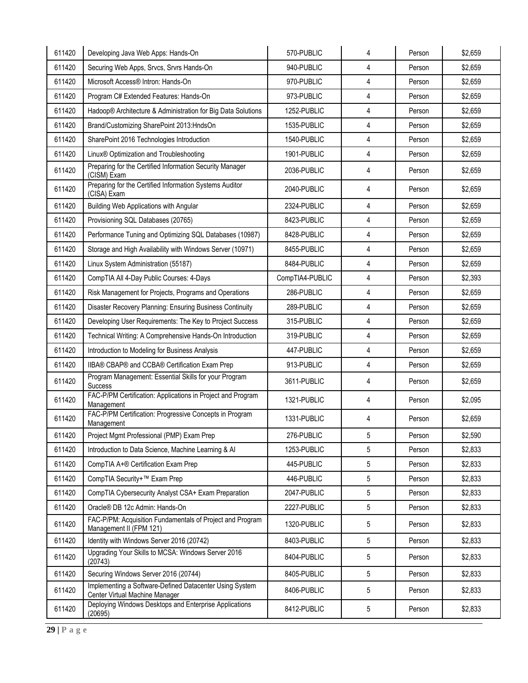| 611420 | Developing Java Web Apps: Hands-On                                                        | 570-PUBLIC      | 4               | Person | \$2,659 |
|--------|-------------------------------------------------------------------------------------------|-----------------|-----------------|--------|---------|
| 611420 | Securing Web Apps, Srvcs, Srvrs Hands-On                                                  | 940-PUBLIC      | 4               | Person | \$2,659 |
| 611420 | Microsoft Access® Intron: Hands-On                                                        | 970-PUBLIC      | 4               | Person | \$2,659 |
| 611420 | Program C# Extended Features: Hands-On                                                    | 973-PUBLIC      | 4               | Person | \$2,659 |
| 611420 | Hadoop® Architecture & Administration for Big Data Solutions                              | 1252-PUBLIC     | $\overline{4}$  | Person | \$2,659 |
| 611420 | Brand/Customizing SharePoint 2013:HndsOn                                                  | 1535-PUBLIC     | 4               | Person | \$2,659 |
| 611420 | SharePoint 2016 Technologies Introduction                                                 | 1540-PUBLIC     | $\overline{4}$  | Person | \$2,659 |
| 611420 | Linux <sup>®</sup> Optimization and Troubleshooting                                       | 1901-PUBLIC     | 4               | Person | \$2,659 |
| 611420 | Preparing for the Certified Information Security Manager<br>(CISM) Exam                   | 2036-PUBLIC     | $\overline{4}$  | Person | \$2,659 |
| 611420 | Preparing for the Certified Information Systems Auditor<br>(CISA) Exam                    | 2040-PUBLIC     | 4               | Person | \$2,659 |
| 611420 | <b>Building Web Applications with Angular</b>                                             | 2324-PUBLIC     | 4               | Person | \$2,659 |
| 611420 | Provisioning SQL Databases (20765)                                                        | 8423-PUBLIC     | 4               | Person | \$2,659 |
| 611420 | Performance Tuning and Optimizing SQL Databases (10987)                                   | 8428-PUBLIC     | $\overline{4}$  | Person | \$2,659 |
| 611420 | Storage and High Availability with Windows Server (10971)                                 | 8455-PUBLIC     | 4               | Person | \$2,659 |
| 611420 | Linux System Administration (55187)                                                       | 8484-PUBLIC     | 4               | Person | \$2,659 |
| 611420 | CompTIA All 4-Day Public Courses: 4-Days                                                  | CompTIA4-PUBLIC | 4               | Person | \$2,393 |
| 611420 | Risk Management for Projects, Programs and Operations                                     | 286-PUBLIC      | 4               | Person | \$2,659 |
| 611420 | Disaster Recovery Planning: Ensuring Business Continuity                                  | 289-PUBLIC      | 4               | Person | \$2,659 |
| 611420 | Developing User Requirements: The Key to Project Success                                  | 315-PUBLIC      | $\overline{4}$  | Person | \$2,659 |
| 611420 | Technical Writing: A Comprehensive Hands-On Introduction                                  | 319-PUBLIC      | 4               | Person | \$2,659 |
| 611420 | Introduction to Modeling for Business Analysis                                            | 447-PUBLIC      | $\overline{4}$  | Person | \$2,659 |
| 611420 | IIBA® CBAP® and CCBA® Certification Exam Prep                                             | 913-PUBLIC      | 4               | Person | \$2,659 |
| 611420 | Program Management: Essential Skills for your Program<br><b>Success</b>                   | 3611-PUBLIC     | $\overline{4}$  | Person | \$2,659 |
| 611420 | FAC-P/PM Certification: Applications in Project and Program<br>Management                 | 1321-PUBLIC     | 4               | Person | \$2,095 |
| 611420 | FAC-P/PM Certification: Progressive Concepts in Program<br>Management                     | 1331-PUBLIC     | 4               | Person | \$2,659 |
| 611420 | Project Mgmt Professional (PMP) Exam Prep                                                 | 276-PUBLIC      | 5               | Person | \$2,590 |
| 611420 | Introduction to Data Science, Machine Learning & Al                                       | 1253-PUBLIC     | 5               | Person | \$2,833 |
| 611420 | CompTIA A+® Certification Exam Prep                                                       | 445-PUBLIC      | 5               | Person | \$2,833 |
| 611420 | CompTIA Security+™ Exam Prep                                                              | 446-PUBLIC      | 5               | Person | \$2,833 |
| 611420 | CompTIA Cybersecurity Analyst CSA+ Exam Preparation                                       | 2047-PUBLIC     | 5               | Person | \$2,833 |
| 611420 | Oracle® DB 12c Admin: Hands-On                                                            | 2227-PUBLIC     | 5               | Person | \$2,833 |
| 611420 | FAC-P/PM: Acquisition Fundamentals of Project and Program<br>Management II (FPM 121)      | 1320-PUBLIC     | 5               | Person | \$2,833 |
| 611420 | Identity with Windows Server 2016 (20742)                                                 | 8403-PUBLIC     | $5\overline{)}$ | Person | \$2,833 |
| 611420 | Upgrading Your Skills to MCSA: Windows Server 2016<br>(20743)                             | 8404-PUBLIC     | 5               | Person | \$2,833 |
| 611420 | Securing Windows Server 2016 (20744)                                                      | 8405-PUBLIC     | 5               | Person | \$2,833 |
| 611420 | Implementing a Software-Defined Datacenter Using System<br>Center Virtual Machine Manager | 8406-PUBLIC     | 5               | Person | \$2,833 |
| 611420 | Deploying Windows Desktops and Enterprise Applications<br>(20695)                         | 8412-PUBLIC     | $5\phantom{.0}$ | Person | \$2,833 |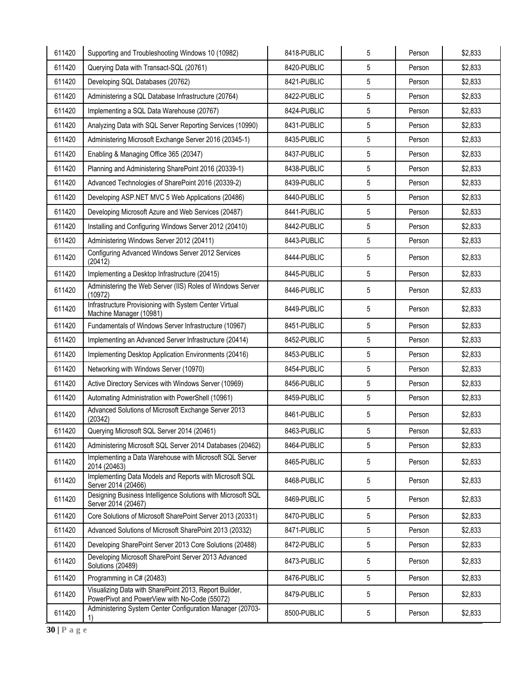| 611420 | Supporting and Troubleshooting Windows 10 (10982)                                                       | 8418-PUBLIC | 5 | Person | \$2,833 |
|--------|---------------------------------------------------------------------------------------------------------|-------------|---|--------|---------|
| 611420 | Querying Data with Transact-SQL (20761)                                                                 | 8420-PUBLIC | 5 | Person | \$2,833 |
| 611420 | Developing SQL Databases (20762)                                                                        | 8421-PUBLIC | 5 | Person | \$2,833 |
| 611420 | Administering a SQL Database Infrastructure (20764)                                                     | 8422-PUBLIC | 5 | Person | \$2,833 |
| 611420 | Implementing a SQL Data Warehouse (20767)                                                               | 8424-PUBLIC | 5 | Person | \$2,833 |
| 611420 | Analyzing Data with SQL Server Reporting Services (10990)                                               | 8431-PUBLIC | 5 | Person | \$2,833 |
| 611420 | Administering Microsoft Exchange Server 2016 (20345-1)                                                  | 8435-PUBLIC | 5 | Person | \$2,833 |
| 611420 | Enabling & Managing Office 365 (20347)                                                                  | 8437-PUBLIC | 5 | Person | \$2,833 |
| 611420 | Planning and Administering SharePoint 2016 (20339-1)                                                    | 8438-PUBLIC | 5 | Person | \$2,833 |
| 611420 | Advanced Technologies of SharePoint 2016 (20339-2)                                                      | 8439-PUBLIC | 5 | Person | \$2,833 |
| 611420 | Developing ASP.NET MVC 5 Web Applications (20486)                                                       | 8440-PUBLIC | 5 | Person | \$2,833 |
| 611420 | Developing Microsoft Azure and Web Services (20487)                                                     | 8441-PUBLIC | 5 | Person | \$2,833 |
| 611420 | Installing and Configuring Windows Server 2012 (20410)                                                  | 8442-PUBLIC | 5 | Person | \$2,833 |
| 611420 | Administering Windows Server 2012 (20411)                                                               | 8443-PUBLIC | 5 | Person | \$2,833 |
| 611420 | Configuring Advanced Windows Server 2012 Services<br>(20412)                                            | 8444-PUBLIC | 5 | Person | \$2,833 |
| 611420 | Implementing a Desktop Infrastructure (20415)                                                           | 8445-PUBLIC | 5 | Person | \$2,833 |
| 611420 | Administering the Web Server (IIS) Roles of Windows Server<br>(10972)                                   | 8446-PUBLIC | 5 | Person | \$2,833 |
| 611420 | Infrastructure Provisioning with System Center Virtual<br>Machine Manager (10981)                       | 8449-PUBLIC | 5 | Person | \$2,833 |
| 611420 | Fundamentals of Windows Server Infrastructure (10967)                                                   | 8451-PUBLIC | 5 | Person | \$2,833 |
| 611420 | Implementing an Advanced Server Infrastructure (20414)                                                  | 8452-PUBLIC | 5 | Person | \$2,833 |
| 611420 | Implementing Desktop Application Environments (20416)                                                   | 8453-PUBLIC | 5 | Person | \$2,833 |
| 611420 | Networking with Windows Server (10970)                                                                  | 8454-PUBLIC | 5 | Person | \$2,833 |
| 611420 | Active Directory Services with Windows Server (10969)                                                   | 8456-PUBLIC | 5 | Person | \$2,833 |
| 611420 | Automating Administration with PowerShell (10961)                                                       | 8459-PUBLIC | 5 | Person | \$2,833 |
| 611420 | Advanced Solutions of Microsoft Exchange Server 2013<br>(20342)                                         | 8461-PUBLIC | 5 | Person | \$2,833 |
| 611420 | Querying Microsoft SQL Server 2014 (20461)                                                              | 8463-PUBLIC | 5 | Person | \$2,833 |
| 611420 | Administering Microsoft SQL Server 2014 Databases (20462)                                               | 8464-PUBLIC | 5 | Person | \$2,833 |
| 611420 | Implementing a Data Warehouse with Microsoft SQL Server<br>2014 (20463)                                 | 8465-PUBLIC | 5 | Person | \$2,833 |
| 611420 | Implementing Data Models and Reports with Microsoft SQL<br>Server 2014 (20466)                          | 8468-PUBLIC | 5 | Person | \$2,833 |
| 611420 | Designing Business Intelligence Solutions with Microsoft SQL<br>Server 2014 (20467)                     | 8469-PUBLIC | 5 | Person | \$2,833 |
| 611420 | Core Solutions of Microsoft SharePoint Server 2013 (20331)                                              | 8470-PUBLIC | 5 | Person | \$2,833 |
| 611420 | Advanced Solutions of Microsoft SharePoint 2013 (20332)                                                 | 8471-PUBLIC | 5 | Person | \$2,833 |
| 611420 | Developing SharePoint Server 2013 Core Solutions (20488)                                                | 8472-PUBLIC | 5 | Person | \$2,833 |
| 611420 | Developing Microsoft SharePoint Server 2013 Advanced<br>Solutions (20489)                               | 8473-PUBLIC | 5 | Person | \$2,833 |
| 611420 | Programming in C# (20483)                                                                               | 8476-PUBLIC | 5 | Person | \$2,833 |
| 611420 | Visualizing Data with SharePoint 2013, Report Builder,<br>PowerPivot and PowerView with No-Code (55072) | 8479-PUBLIC | 5 | Person | \$2,833 |
| 611420 | Administering System Center Configuration Manager (20703-<br>1)                                         | 8500-PUBLIC | 5 | Person | \$2,833 |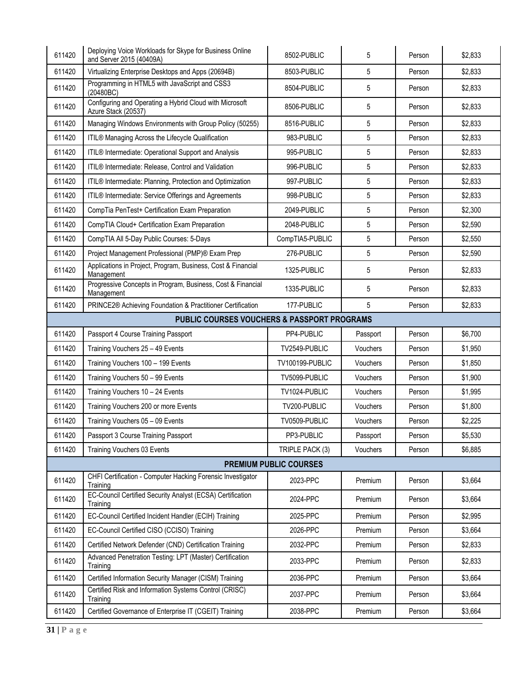| 611420                                      | Deploying Voice Workloads for Skype for Business Online<br>and Server 2015 (40409A) | 8502-PUBLIC     | 5        | Person | \$2,833 |  |  |  |  |
|---------------------------------------------|-------------------------------------------------------------------------------------|-----------------|----------|--------|---------|--|--|--|--|
| 611420                                      | Virtualizing Enterprise Desktops and Apps (20694B)                                  | 8503-PUBLIC     | 5        | Person | \$2,833 |  |  |  |  |
| 611420                                      | Programming in HTML5 with JavaScript and CSS3<br>(20480BC)                          | 8504-PUBLIC     | 5        | Person | \$2,833 |  |  |  |  |
| 611420                                      | Configuring and Operating a Hybrid Cloud with Microsoft<br>Azure Stack (20537)      | 8506-PUBLIC     | 5        | Person | \$2,833 |  |  |  |  |
| 611420                                      | Managing Windows Environments with Group Policy (50255)                             | 8516-PUBLIC     | 5        | Person | \$2,833 |  |  |  |  |
| 611420                                      | ITIL® Managing Across the Lifecycle Qualification                                   | 983-PUBLIC      | 5        | Person | \$2,833 |  |  |  |  |
| 611420                                      | ITIL® Intermediate: Operational Support and Analysis                                | 995-PUBLIC      | 5        | Person | \$2,833 |  |  |  |  |
| 611420                                      | ITIL® Intermediate: Release, Control and Validation                                 | 996-PUBLIC      | 5        | Person | \$2,833 |  |  |  |  |
| 611420                                      | ITIL® Intermediate: Planning, Protection and Optimization                           | 997-PUBLIC      | 5        | Person | \$2,833 |  |  |  |  |
| 611420                                      | ITIL® Intermediate: Service Offerings and Agreements                                | 998-PUBLIC      | 5        | Person | \$2,833 |  |  |  |  |
| 611420                                      | CompTia PenTest+ Certification Exam Preparation                                     | 2049-PUBLIC     | 5        | Person | \$2,300 |  |  |  |  |
| 611420                                      | CompTIA Cloud+ Certification Exam Preparation                                       | 2048-PUBLIC     | 5        | Person | \$2,590 |  |  |  |  |
| 611420                                      | CompTIA All 5-Day Public Courses: 5-Days                                            | CompTIA5-PUBLIC | 5        | Person | \$2,550 |  |  |  |  |
| 611420                                      | Project Management Professional (PMP)® Exam Prep                                    | 276-PUBLIC      | 5        | Person | \$2,590 |  |  |  |  |
| 611420                                      | Applications in Project, Program, Business, Cost & Financial<br>Management          | 1325-PUBLIC     | 5        | Person | \$2,833 |  |  |  |  |
| 611420                                      | Progressive Concepts in Program, Business, Cost & Financial<br>Management           | 1335-PUBLIC     | 5        | Person | \$2,833 |  |  |  |  |
| 611420                                      | PRINCE2® Achieving Foundation & Practitioner Certification                          | 177-PUBLIC      | 5        | Person | \$2,833 |  |  |  |  |
| PUBLIC COURSES VOUCHERS & PASSPORT PROGRAMS |                                                                                     |                 |          |        |         |  |  |  |  |
| 611420                                      | Passport 4 Course Training Passport                                                 | PP4-PUBLIC      | Passport | Person | \$6,700 |  |  |  |  |
| 611420                                      | Training Vouchers 25 - 49 Events                                                    | TV2549-PUBLIC   | Vouchers | Person | \$1,950 |  |  |  |  |
| 611420                                      | Training Vouchers 100 - 199 Events                                                  | TV100199-PUBLIC | Vouchers | Person | \$1,850 |  |  |  |  |
| 611420                                      | Training Vouchers 50 - 99 Events                                                    | TV5099-PUBLIC   | Vouchers | Person | \$1,900 |  |  |  |  |
| 611420                                      | Training Vouchers 10 - 24 Events                                                    | TV1024-PUBLIC   | Vouchers | Person | \$1,995 |  |  |  |  |
| 611420                                      | Training Vouchers 200 or more Events                                                | TV200-PUBLIC    | Vouchers | Person | \$1,800 |  |  |  |  |
| 611420                                      | Training Vouchers 05 - 09 Events                                                    | TV0509-PUBLIC   | Vouchers | Person | \$2,225 |  |  |  |  |
| 611420                                      | Passport 3 Course Training Passport                                                 | PP3-PUBLIC      | Passport | Person | \$5,530 |  |  |  |  |
| 611420                                      | Training Vouchers 03 Events                                                         | TRIPLE PACK (3) | Vouchers | Person | \$6,885 |  |  |  |  |
| <b>PREMIUM PUBLIC COURSES</b>               |                                                                                     |                 |          |        |         |  |  |  |  |
| 611420                                      | CHFI Certification - Computer Hacking Forensic Investigator<br>Training             | 2023-PPC        | Premium  | Person | \$3,664 |  |  |  |  |
| 611420                                      | EC-Council Certified Security Analyst (ECSA) Certification<br>Training              | 2024-PPC        | Premium  | Person | \$3,664 |  |  |  |  |
| 611420                                      | EC-Council Certified Incident Handler (ECIH) Training                               | 2025-PPC        | Premium  | Person | \$2,995 |  |  |  |  |
| 611420                                      | EC-Council Certified CISO (CCISO) Training                                          | 2026-PPC        | Premium  | Person | \$3,664 |  |  |  |  |
| 611420                                      | Certified Network Defender (CND) Certification Training                             | 2032-PPC        | Premium  | Person | \$2,833 |  |  |  |  |
| 611420                                      | Advanced Penetration Testing: LPT (Master) Certification<br>Training                | 2033-PPC        | Premium  | Person | \$2,833 |  |  |  |  |
| 611420                                      | Certified Information Security Manager (CISM) Training                              | 2036-PPC        | Premium  | Person | \$3,664 |  |  |  |  |
| 611420                                      | Certified Risk and Information Systems Control (CRISC)<br>Training                  | 2037-PPC        | Premium  | Person | \$3,664 |  |  |  |  |
| 611420                                      | Certified Governance of Enterprise IT (CGEIT) Training                              | 2038-PPC        | Premium  | Person | \$3,664 |  |  |  |  |